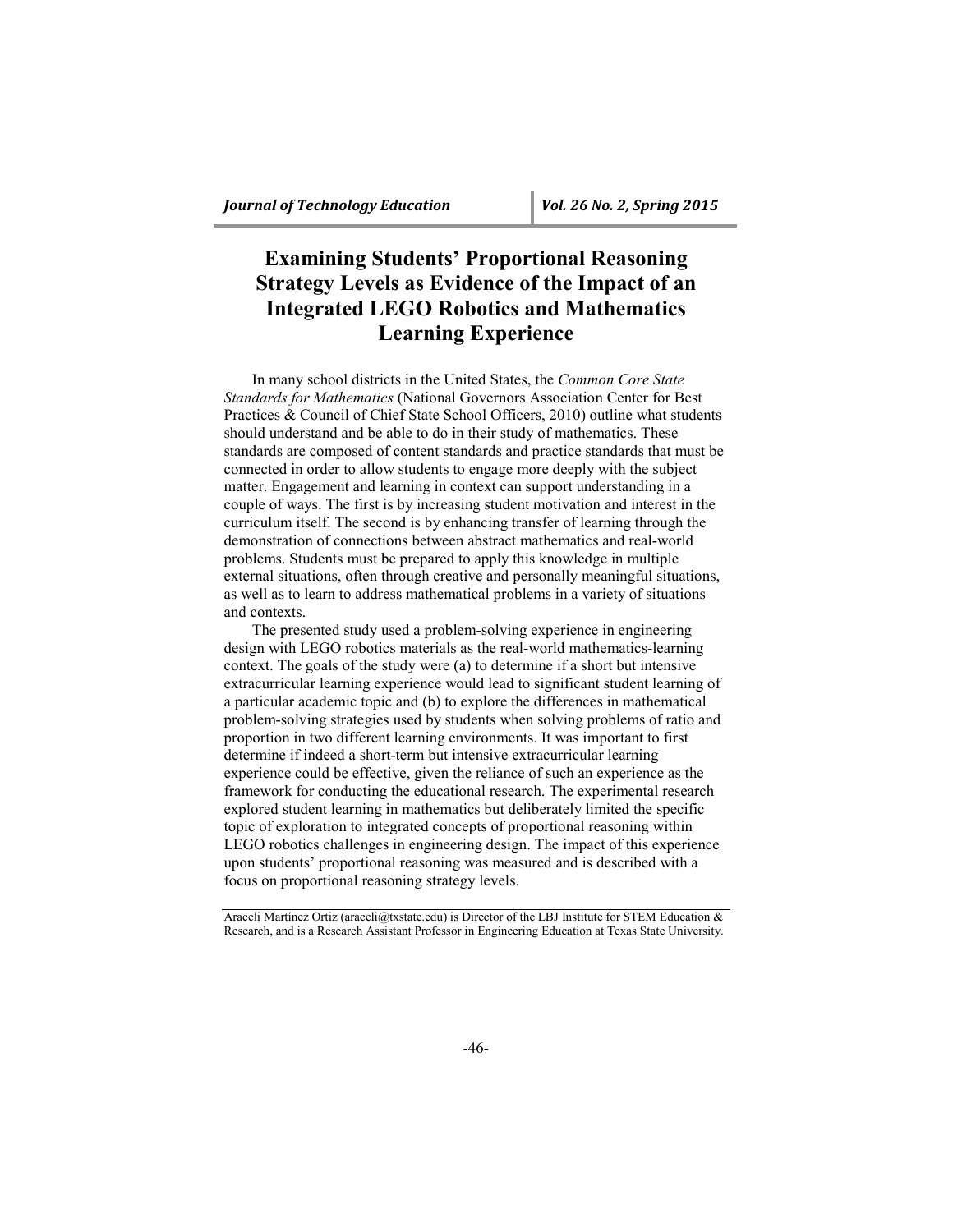# **Examining Students' Proportional Reasoning Strategy Levels as Evidence of the Impact of an Integrated LEGO Robotics and Mathematics Learning Experience**

In many school districts in the United States, the *Common Core State Standards for Mathematics* (National Governors Association Center for Best Practices & Council of Chief State School Officers, 2010) outline what students should understand and be able to do in their study of mathematics. These standards are composed of content standards and practice standards that must be connected in order to allow students to engage more deeply with the subject matter. Engagement and learning in context can support understanding in a couple of ways. The first is by increasing student motivation and interest in the curriculum itself. The second is by enhancing transfer of learning through the demonstration of connections between abstract mathematics and real-world problems. Students must be prepared to apply this knowledge in multiple external situations, often through creative and personally meaningful situations, as well as to learn to address mathematical problems in a variety of situations and contexts.

The presented study used a problem-solving experience in engineering design with LEGO robotics materials as the real-world mathematics-learning context. The goals of the study were (a) to determine if a short but intensive extracurricular learning experience would lead to significant student learning of a particular academic topic and (b) to explore the differences in mathematical problem-solving strategies used by students when solving problems of ratio and proportion in two different learning environments. It was important to first determine if indeed a short-term but intensive extracurricular learning experience could be effective, given the reliance of such an experience as the framework for conducting the educational research. The experimental research explored student learning in mathematics but deliberately limited the specific topic of exploration to integrated concepts of proportional reasoning within LEGO robotics challenges in engineering design. The impact of this experience upon students' proportional reasoning was measured and is described with a focus on proportional reasoning strategy levels.

Araceli Martínez Ortiz (araceli@txstate.edu) is Director of the LBJ Institute for STEM Education & Research, and is a Research Assistant Professor in Engineering Education at Texas State University.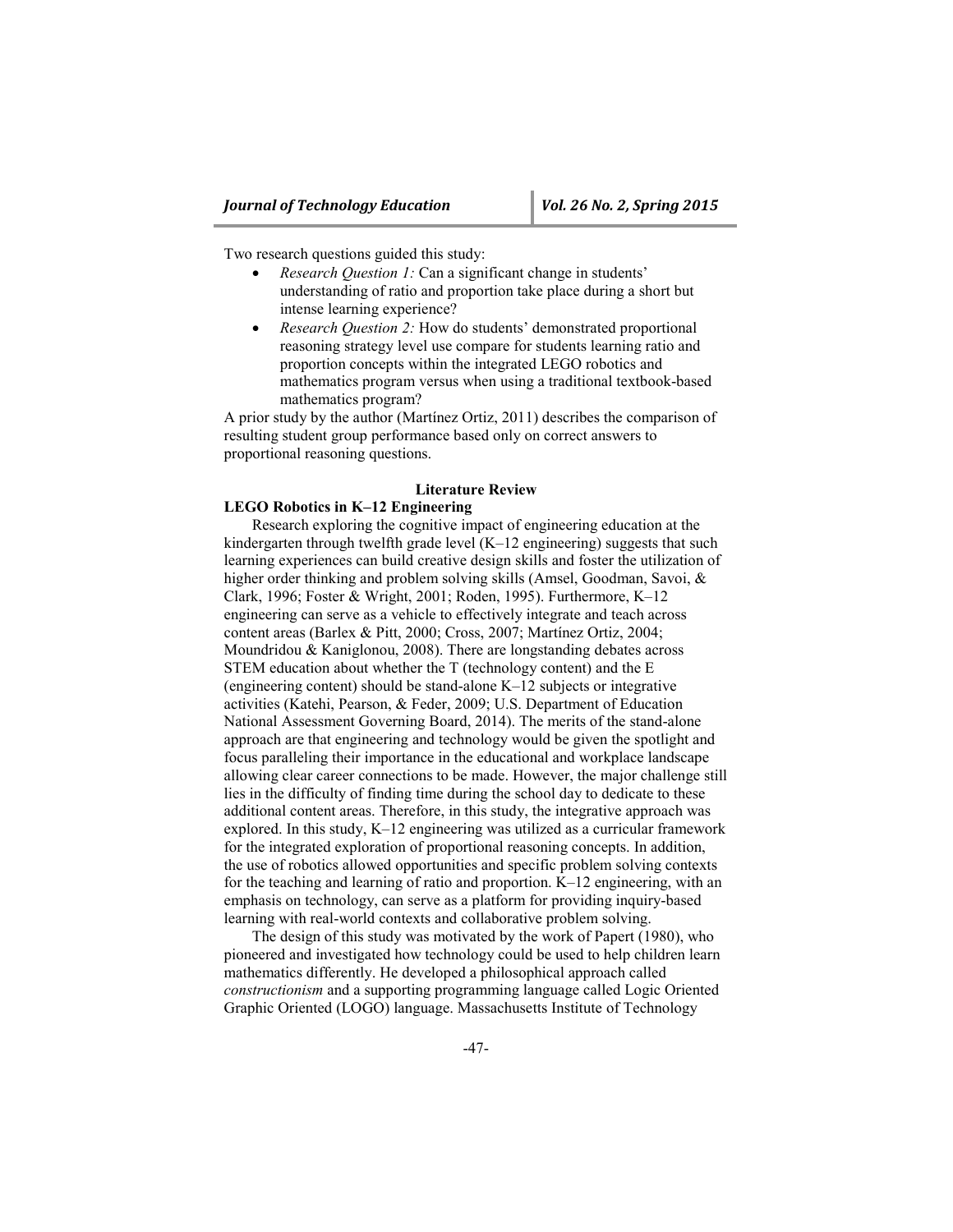Two research questions guided this study:

- *Research Question 1:* Can a significant change in students' understanding of ratio and proportion take place during a short but intense learning experience?
- *Research Question 2:* How do students' demonstrated proportional reasoning strategy level use compare for students learning ratio and proportion concepts within the integrated LEGO robotics and mathematics program versus when using a traditional textbook-based mathematics program?

A prior study by the author (Martínez Ortiz, 2011) describes the comparison of resulting student group performance based only on correct answers to proportional reasoning questions.

### **Literature Review**

## **LEGO Robotics in K–12 Engineering**

Research exploring the cognitive impact of engineering education at the kindergarten through twelfth grade level (K–12 engineering) suggests that such learning experiences can build creative design skills and foster the utilization of higher order thinking and problem solving skills (Amsel, Goodman, Savoi, & Clark, 1996; Foster & Wright, 2001; Roden, 1995). Furthermore, K–12 engineering can serve as a vehicle to effectively integrate and teach across content areas (Barlex & Pitt, 2000; Cross, 2007; Martínez Ortiz, 2004; Moundridou & Kaniglonou, 2008). There are longstanding debates across STEM education about whether the T (technology content) and the E (engineering content) should be stand-alone K–12 subjects or integrative activities (Katehi, Pearson, & Feder, 2009; U.S. Department of Education National Assessment Governing Board, 2014). The merits of the stand-alone approach are that engineering and technology would be given the spotlight and focus paralleling their importance in the educational and workplace landscape allowing clear career connections to be made. However, the major challenge still lies in the difficulty of finding time during the school day to dedicate to these additional content areas. Therefore, in this study, the integrative approach was explored. In this study, K–12 engineering was utilized as a curricular framework for the integrated exploration of proportional reasoning concepts. In addition, the use of robotics allowed opportunities and specific problem solving contexts for the teaching and learning of ratio and proportion. K–12 engineering, with an emphasis on technology, can serve as a platform for providing inquiry-based learning with real-world contexts and collaborative problem solving.

The design of this study was motivated by the work of Papert (1980), who pioneered and investigated how technology could be used to help children learn mathematics differently. He developed a philosophical approach called *constructionism* and a supporting programming language called Logic Oriented Graphic Oriented (LOGO) language. Massachusetts Institute of Technology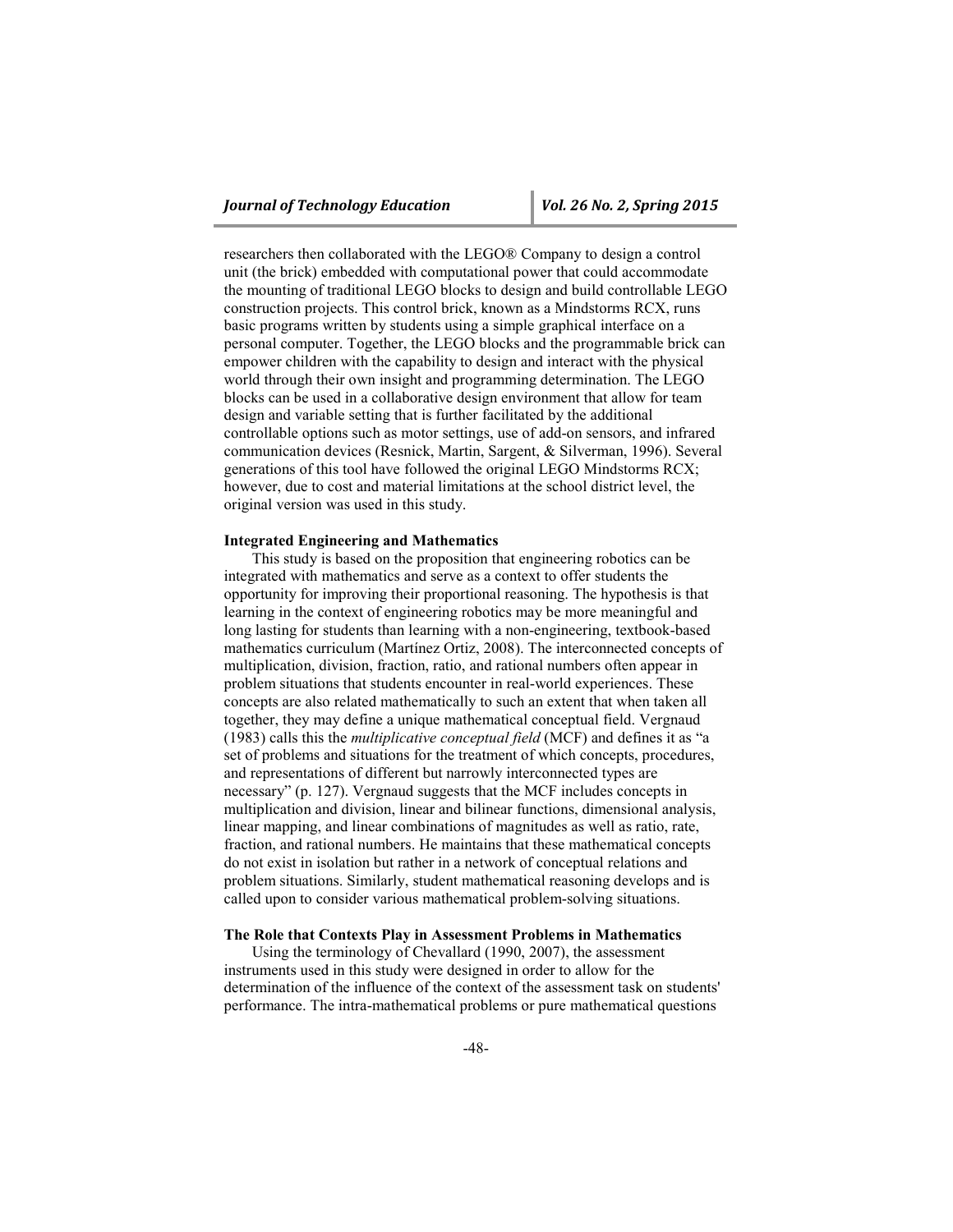researchers then collaborated with the LEGO® Company to design a control unit (the brick) embedded with computational power that could accommodate the mounting of traditional LEGO blocks to design and build controllable LEGO construction projects. This control brick, known as a Mindstorms RCX, runs basic programs written by students using a simple graphical interface on a personal computer. Together, the LEGO blocks and the programmable brick can empower children with the capability to design and interact with the physical world through their own insight and programming determination. The LEGO blocks can be used in a collaborative design environment that allow for team design and variable setting that is further facilitated by the additional controllable options such as motor settings, use of add-on sensors, and infrared communication devices (Resnick, Martin, Sargent, & Silverman, 1996). Several generations of this tool have followed the original LEGO Mindstorms RCX; however, due to cost and material limitations at the school district level, the original version was used in this study.

#### **Integrated Engineering and Mathematics**

This study is based on the proposition that engineering robotics can be integrated with mathematics and serve as a context to offer students the opportunity for improving their proportional reasoning. The hypothesis is that learning in the context of engineering robotics may be more meaningful and long lasting for students than learning with a non-engineering, textbook-based mathematics curriculum (Martínez Ortiz, 2008). The interconnected concepts of multiplication, division, fraction, ratio, and rational numbers often appear in problem situations that students encounter in real-world experiences. These concepts are also related mathematically to such an extent that when taken all together, they may define a unique mathematical conceptual field. Vergnaud (1983) calls this the *multiplicative conceptual field* (MCF) and defines it as "a set of problems and situations for the treatment of which concepts, procedures, and representations of different but narrowly interconnected types are necessary" (p. 127). Vergnaud suggests that the MCF includes concepts in multiplication and division, linear and bilinear functions, dimensional analysis, linear mapping, and linear combinations of magnitudes as well as ratio, rate, fraction, and rational numbers. He maintains that these mathematical concepts do not exist in isolation but rather in a network of conceptual relations and problem situations. Similarly, student mathematical reasoning develops and is called upon to consider various mathematical problem-solving situations.

#### **The Role that Contexts Play in Assessment Problems in Mathematics**

Using the terminology of Chevallard (1990, 2007), the assessment instruments used in this study were designed in order to allow for the determination of the influence of the context of the assessment task on students' performance. The intra-mathematical problems or pure mathematical questions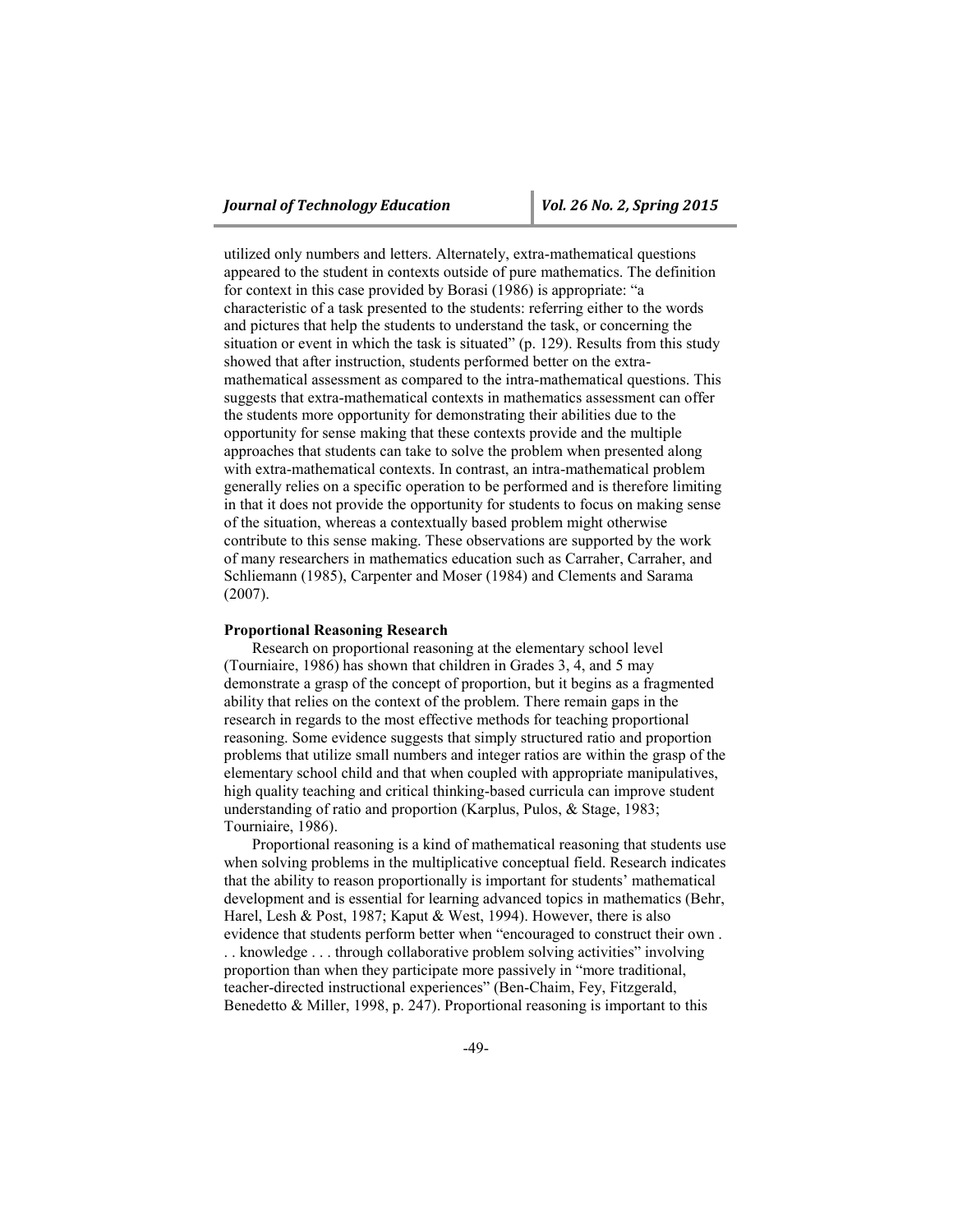utilized only numbers and letters. Alternately, extra-mathematical questions appeared to the student in contexts outside of pure mathematics. The definition for context in this case provided by Borasi (1986) is appropriate: "a characteristic of a task presented to the students: referring either to the words and pictures that help the students to understand the task, or concerning the situation or event in which the task is situated" (p. 129). Results from this study showed that after instruction, students performed better on the extramathematical assessment as compared to the intra-mathematical questions. This suggests that extra-mathematical contexts in mathematics assessment can offer the students more opportunity for demonstrating their abilities due to the opportunity for sense making that these contexts provide and the multiple approaches that students can take to solve the problem when presented along with extra-mathematical contexts. In contrast, an intra-mathematical problem generally relies on a specific operation to be performed and is therefore limiting in that it does not provide the opportunity for students to focus on making sense of the situation, whereas a contextually based problem might otherwise contribute to this sense making. These observations are supported by the work of many researchers in mathematics education such as Carraher, Carraher, and Schliemann (1985), Carpenter and Moser (1984) and Clements and Sarama (2007).

#### **Proportional Reasoning Research**

Research on proportional reasoning at the elementary school level (Tourniaire, 1986) has shown that children in Grades 3, 4, and 5 may demonstrate a grasp of the concept of proportion, but it begins as a fragmented ability that relies on the context of the problem. There remain gaps in the research in regards to the most effective methods for teaching proportional reasoning. Some evidence suggests that simply structured ratio and proportion problems that utilize small numbers and integer ratios are within the grasp of the elementary school child and that when coupled with appropriate manipulatives, high quality teaching and critical thinking-based curricula can improve student understanding of ratio and proportion (Karplus, Pulos, & Stage, 1983; Tourniaire, 1986).

Proportional reasoning is a kind of mathematical reasoning that students use when solving problems in the multiplicative conceptual field. Research indicates that the ability to reason proportionally is important for students' mathematical development and is essential for learning advanced topics in mathematics (Behr, Harel, Lesh & Post, 1987; Kaput & West, 1994). However, there is also evidence that students perform better when "encouraged to construct their own . . . knowledge . . . through collaborative problem solving activities" involving proportion than when they participate more passively in "more traditional, teacher-directed instructional experiences" (Ben-Chaim, Fey, Fitzgerald, Benedetto & Miller, 1998, p. 247). Proportional reasoning is important to this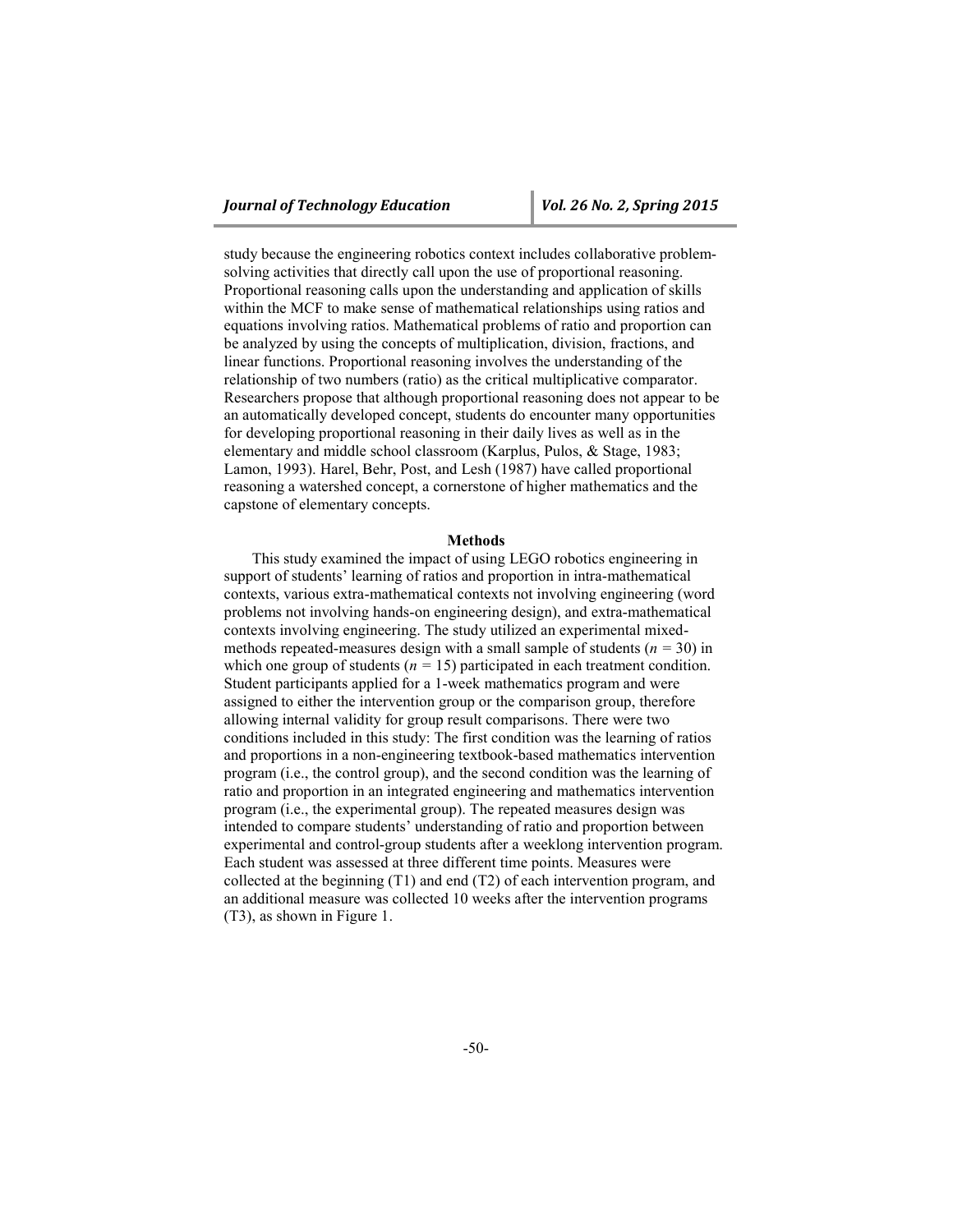study because the engineering robotics context includes collaborative problemsolving activities that directly call upon the use of proportional reasoning. Proportional reasoning calls upon the understanding and application of skills within the MCF to make sense of mathematical relationships using ratios and equations involving ratios. Mathematical problems of ratio and proportion can be analyzed by using the concepts of multiplication, division, fractions, and linear functions. Proportional reasoning involves the understanding of the relationship of two numbers (ratio) as the critical multiplicative comparator. Researchers propose that although proportional reasoning does not appear to be an automatically developed concept, students do encounter many opportunities for developing proportional reasoning in their daily lives as well as in the elementary and middle school classroom (Karplus, Pulos, & Stage, 1983; Lamon, 1993). Harel, Behr, Post, and Lesh (1987) have called proportional reasoning a watershed concept, a cornerstone of higher mathematics and the capstone of elementary concepts.

#### **Methods**

This study examined the impact of using LEGO robotics engineering in support of students' learning of ratios and proportion in intra-mathematical contexts, various extra-mathematical contexts not involving engineering (word problems not involving hands-on engineering design), and extra-mathematical contexts involving engineering. The study utilized an experimental mixedmethods repeated-measures design with a small sample of students (*n =* 30) in which one group of students ( $n = 15$ ) participated in each treatment condition. Student participants applied for a 1-week mathematics program and were assigned to either the intervention group or the comparison group, therefore allowing internal validity for group result comparisons. There were two conditions included in this study: The first condition was the learning of ratios and proportions in a non-engineering textbook-based mathematics intervention program (i.e., the control group), and the second condition was the learning of ratio and proportion in an integrated engineering and mathematics intervention program (i.e., the experimental group). The repeated measures design was intended to compare students' understanding of ratio and proportion between experimental and control-group students after a weeklong intervention program. Each student was assessed at three different time points. Measures were collected at the beginning (T1) and end (T2) of each intervention program, and an additional measure was collected 10 weeks after the intervention programs (T3), as shown in Figure 1.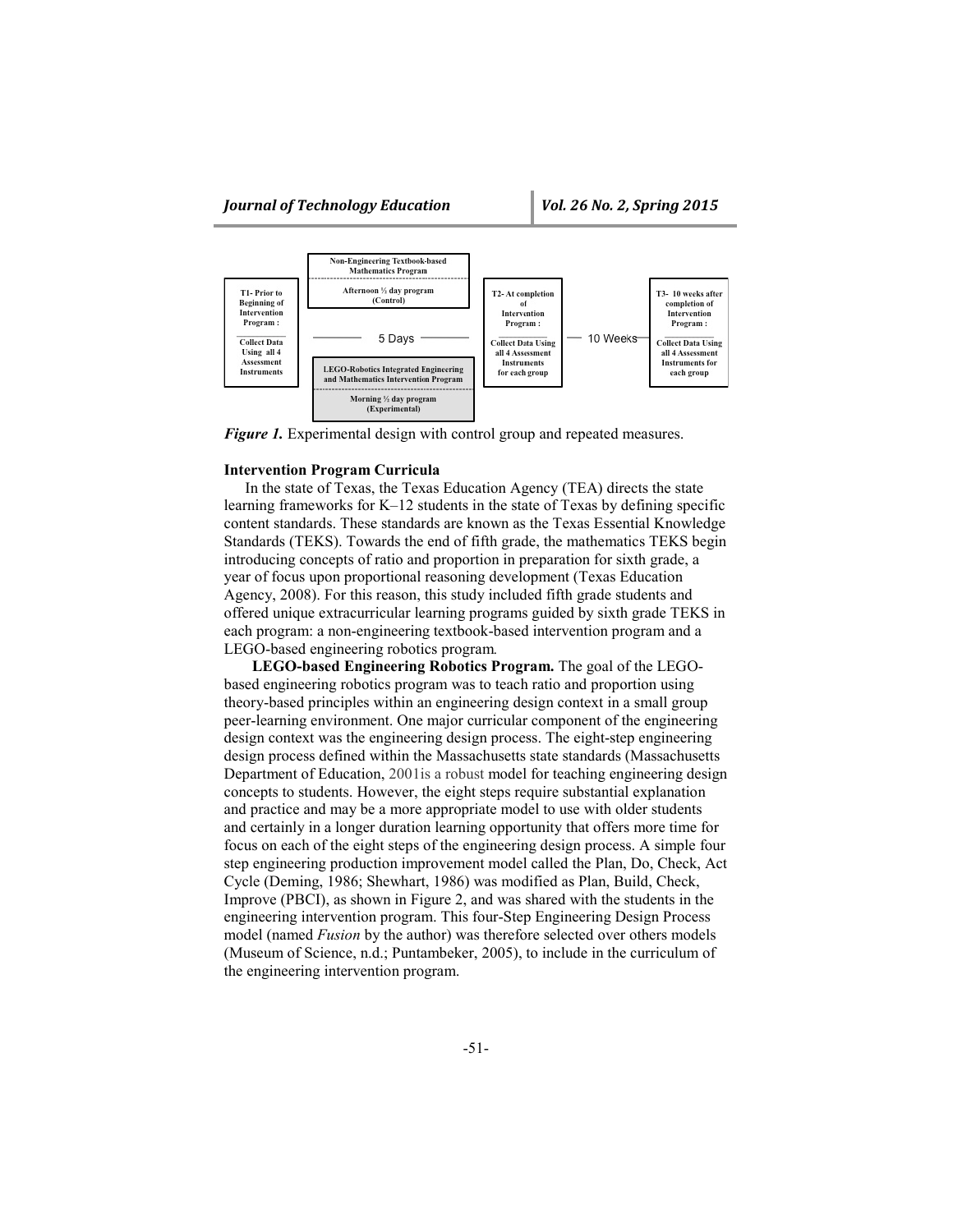

*Figure 1.* Experimental design with control group and repeated measures.

### **Intervention Program Curricula**

In the state of Texas, the Texas Education Agency (TEA) directs the state learning frameworks for K–12 students in the state of Texas by defining specific content standards. These standards are known as the Texas Essential Knowledge Standards (TEKS). Towards the end of fifth grade, the mathematics TEKS begin introducing concepts of ratio and proportion in preparation for sixth grade, a year of focus upon proportional reasoning development (Texas Education Agency, 2008). For this reason, this study included fifth grade students and offered unique extracurricular learning programs guided by sixth grade TEKS in each program: a non-engineering textbook-based intervention program and a LEGO-based engineering robotics program*.* 

**LEGO-based Engineering Robotics Program.** The goal of the LEGObased engineering robotics program was to teach ratio and proportion using theory-based principles within an engineering design context in a small group peer-learning environment. One major curricular component of the engineering design context was the engineering design process. The eight-step engineering design process defined within the Massachusetts state standards (Massachusetts Department of Education, 2001is a robust model for teaching engineering design concepts to students. However, the eight steps require substantial explanation and practice and may be a more appropriate model to use with older students and certainly in a longer duration learning opportunity that offers more time for focus on each of the eight steps of the engineering design process. A simple four step engineering production improvement model called the Plan, Do, Check, Act Cycle (Deming, 1986; Shewhart, 1986) was modified as Plan, Build, Check, Improve (PBCI), as shown in Figure 2, and was shared with the students in the engineering intervention program. This four-Step Engineering Design Process model (named *Fusion* by the author) was therefore selected over others models (Museum of Science, n.d.; Puntambeker, 2005), to include in the curriculum of the engineering intervention program.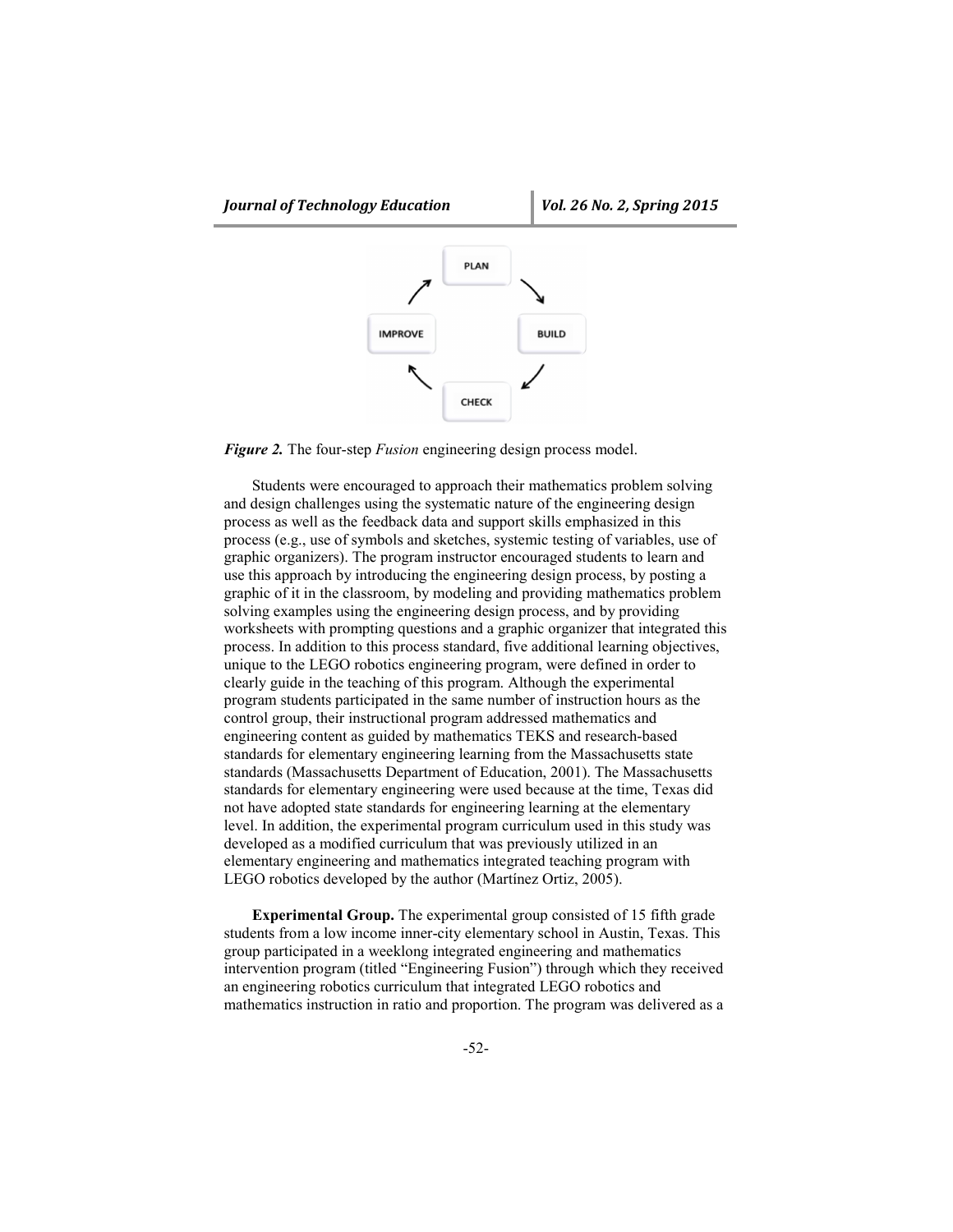

*Figure 2.* The four-step *Fusion* engineering design process model.

Students were encouraged to approach their mathematics problem solving and design challenges using the systematic nature of the engineering design process as well as the feedback data and support skills emphasized in this process (e.g., use of symbols and sketches, systemic testing of variables, use of graphic organizers). The program instructor encouraged students to learn and use this approach by introducing the engineering design process, by posting a graphic of it in the classroom, by modeling and providing mathematics problem solving examples using the engineering design process, and by providing worksheets with prompting questions and a graphic organizer that integrated this process. In addition to this process standard, five additional learning objectives, unique to the LEGO robotics engineering program, were defined in order to clearly guide in the teaching of this program. Although the experimental program students participated in the same number of instruction hours as the control group, their instructional program addressed mathematics and engineering content as guided by mathematics TEKS and research-based standards for elementary engineering learning from the Massachusetts state standards (Massachusetts Department of Education, 2001). The Massachusetts standards for elementary engineering were used because at the time, Texas did not have adopted state standards for engineering learning at the elementary level. In addition, the experimental program curriculum used in this study was developed as a modified curriculum that was previously utilized in an elementary engineering and mathematics integrated teaching program with LEGO robotics developed by the author (Martínez Ortiz, 2005).

**Experimental Group.** The experimental group consisted of 15 fifth grade students from a low income inner-city elementary school in Austin, Texas. This group participated in a weeklong integrated engineering and mathematics intervention program (titled "Engineering Fusion") through which they received an engineering robotics curriculum that integrated LEGO robotics and mathematics instruction in ratio and proportion. The program was delivered as a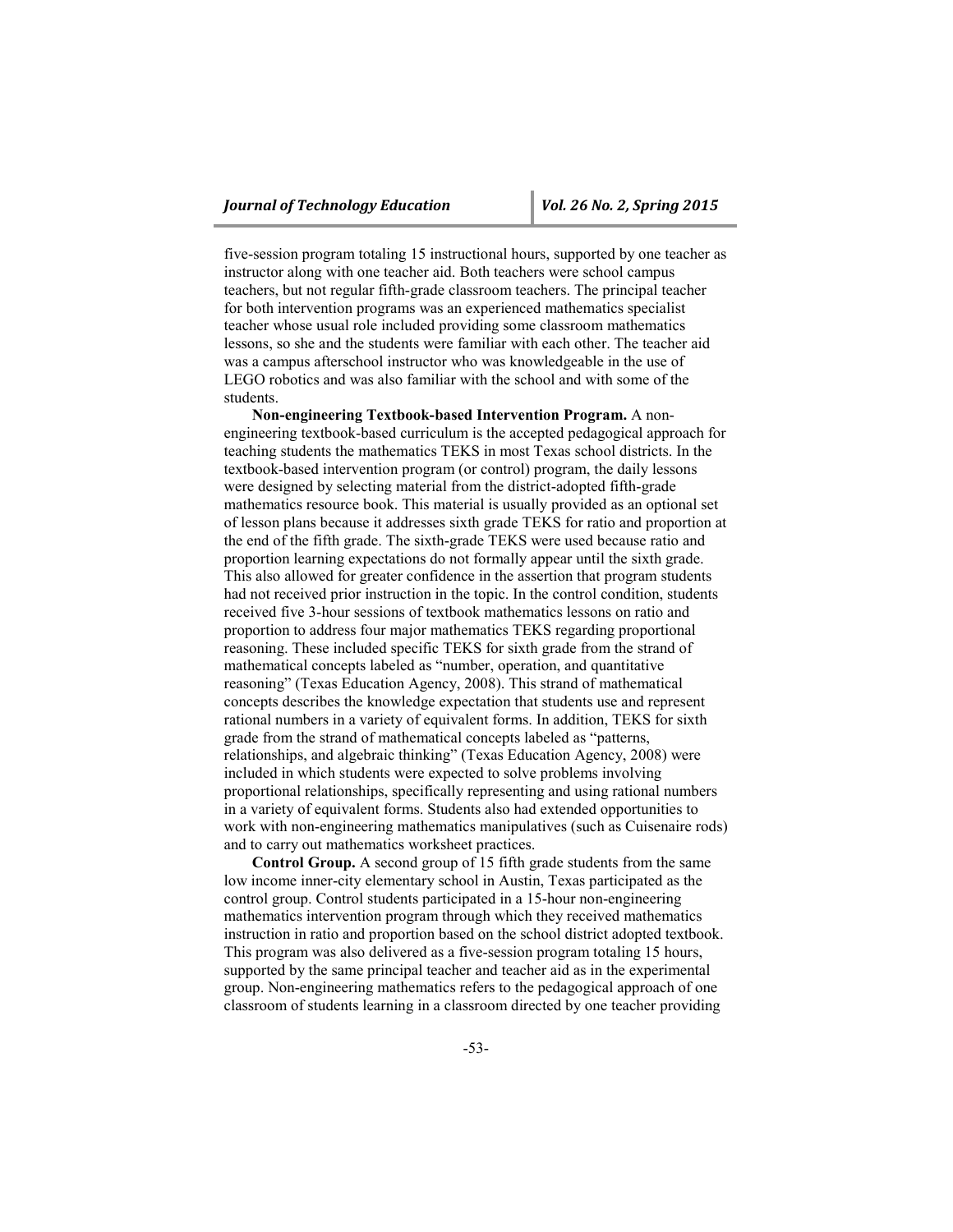five-session program totaling 15 instructional hours, supported by one teacher as instructor along with one teacher aid. Both teachers were school campus teachers, but not regular fifth-grade classroom teachers. The principal teacher for both intervention programs was an experienced mathematics specialist teacher whose usual role included providing some classroom mathematics lessons, so she and the students were familiar with each other. The teacher aid was a campus afterschool instructor who was knowledgeable in the use of LEGO robotics and was also familiar with the school and with some of the students.

**Non-engineering Textbook-based Intervention Program.** A nonengineering textbook-based curriculum is the accepted pedagogical approach for teaching students the mathematics TEKS in most Texas school districts. In the textbook-based intervention program (or control) program, the daily lessons were designed by selecting material from the district-adopted fifth-grade mathematics resource book. This material is usually provided as an optional set of lesson plans because it addresses sixth grade TEKS for ratio and proportion at the end of the fifth grade. The sixth-grade TEKS were used because ratio and proportion learning expectations do not formally appear until the sixth grade. This also allowed for greater confidence in the assertion that program students had not received prior instruction in the topic. In the control condition, students received five 3-hour sessions of textbook mathematics lessons on ratio and proportion to address four major mathematics TEKS regarding proportional reasoning. These included specific TEKS for sixth grade from the strand of mathematical concepts labeled as "number, operation, and quantitative reasoning" (Texas Education Agency, 2008). This strand of mathematical concepts describes the knowledge expectation that students use and represent rational numbers in a variety of equivalent forms. In addition, TEKS for sixth grade from the strand of mathematical concepts labeled as "patterns, relationships, and algebraic thinking" (Texas Education Agency, 2008) were included in which students were expected to solve problems involving proportional relationships, specifically representing and using rational numbers in a variety of equivalent forms. Students also had extended opportunities to work with non-engineering mathematics manipulatives (such as Cuisenaire rods) and to carry out mathematics worksheet practices.

**Control Group.** A second group of 15 fifth grade students from the same low income inner-city elementary school in Austin, Texas participated as the control group. Control students participated in a 15-hour non-engineering mathematics intervention program through which they received mathematics instruction in ratio and proportion based on the school district adopted textbook. This program was also delivered as a five-session program totaling 15 hours, supported by the same principal teacher and teacher aid as in the experimental group. Non-engineering mathematics refers to the pedagogical approach of one classroom of students learning in a classroom directed by one teacher providing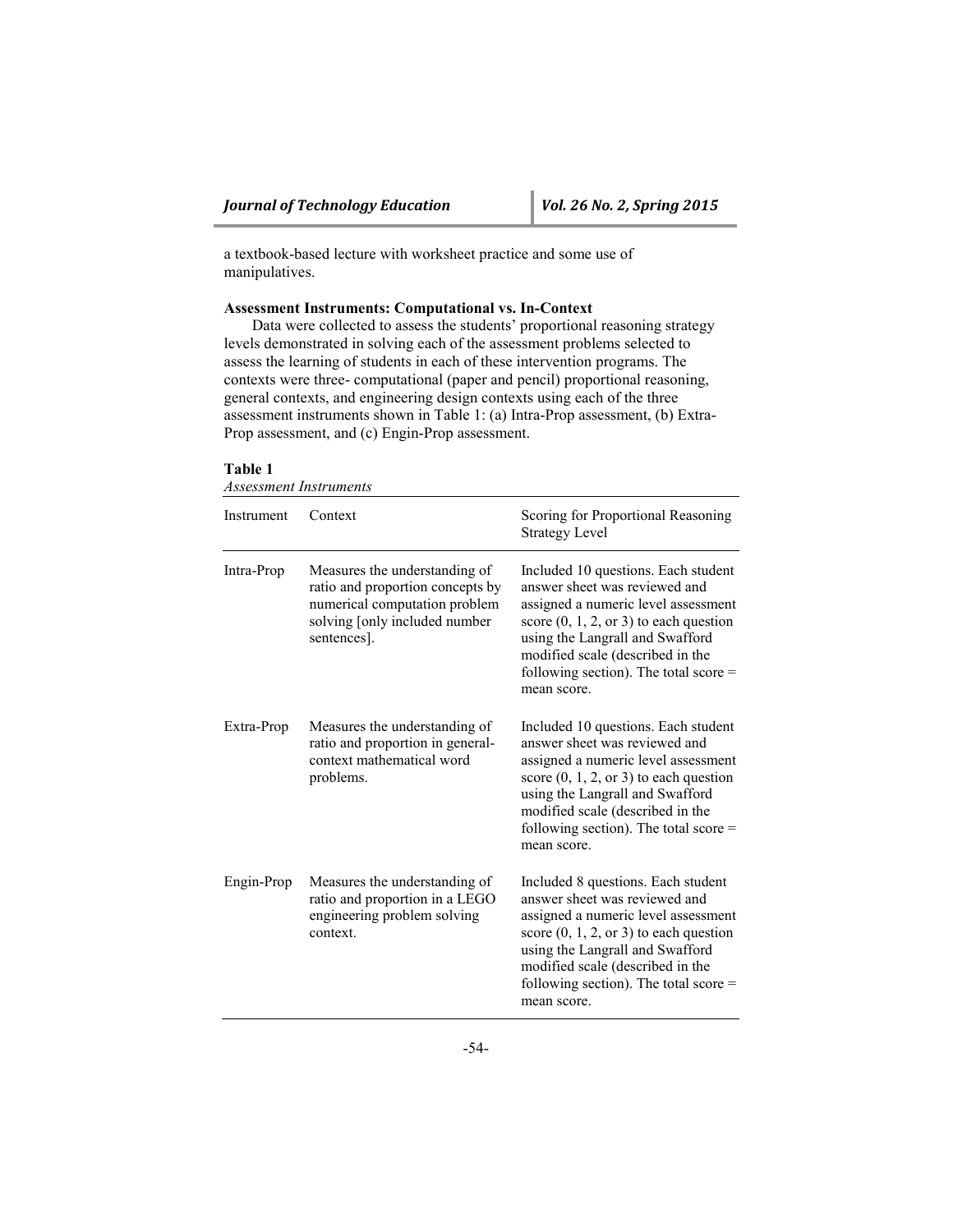a textbook-based lecture with worksheet practice and some use of manipulatives.

#### **Assessment Instruments: Computational vs. In-Context**

Data were collected to assess the students' proportional reasoning strategy levels demonstrated in solving each of the assessment problems selected to assess the learning of students in each of these intervention programs. The contexts were three- computational (paper and pencil) proportional reasoning, general contexts, and engineering design contexts using each of the three assessment instruments shown in Table 1: (a) Intra-Prop assessment, (b) Extra-Prop assessment, and (c) Engin-Prop assessment.

#### **Table 1**

*Assessment Instruments*

| Instrument | Context                                                                                                                                            | Scoring for Proportional Reasoning<br><b>Strategy Level</b>                                                                                                                                                                                                                                      |
|------------|----------------------------------------------------------------------------------------------------------------------------------------------------|--------------------------------------------------------------------------------------------------------------------------------------------------------------------------------------------------------------------------------------------------------------------------------------------------|
| Intra-Prop | Measures the understanding of<br>ratio and proportion concepts by<br>numerical computation problem<br>solving [only included number<br>sentences]. | Included 10 questions. Each student<br>answer sheet was reviewed and<br>assigned a numeric level assessment<br>score $(0, 1, 2, \text{or } 3)$ to each question<br>using the Langrall and Swafford<br>modified scale (described in the<br>following section). The total score $=$<br>mean score. |
| Extra-Prop | Measures the understanding of<br>ratio and proportion in general-<br>context mathematical word<br>problems.                                        | Included 10 questions. Each student<br>answer sheet was reviewed and<br>assigned a numeric level assessment<br>score $(0, 1, 2, \text{or } 3)$ to each question<br>using the Langrall and Swafford<br>modified scale (described in the<br>following section). The total score $=$<br>mean score. |
| Engin-Prop | Measures the understanding of<br>ratio and proportion in a LEGO<br>engineering problem solving<br>context.                                         | Included 8 questions. Each student<br>answer sheet was reviewed and<br>assigned a numeric level assessment<br>score $(0, 1, 2,$ or 3) to each question<br>using the Langrall and Swafford<br>modified scale (described in the<br>following section). The total score $=$<br>mean score.          |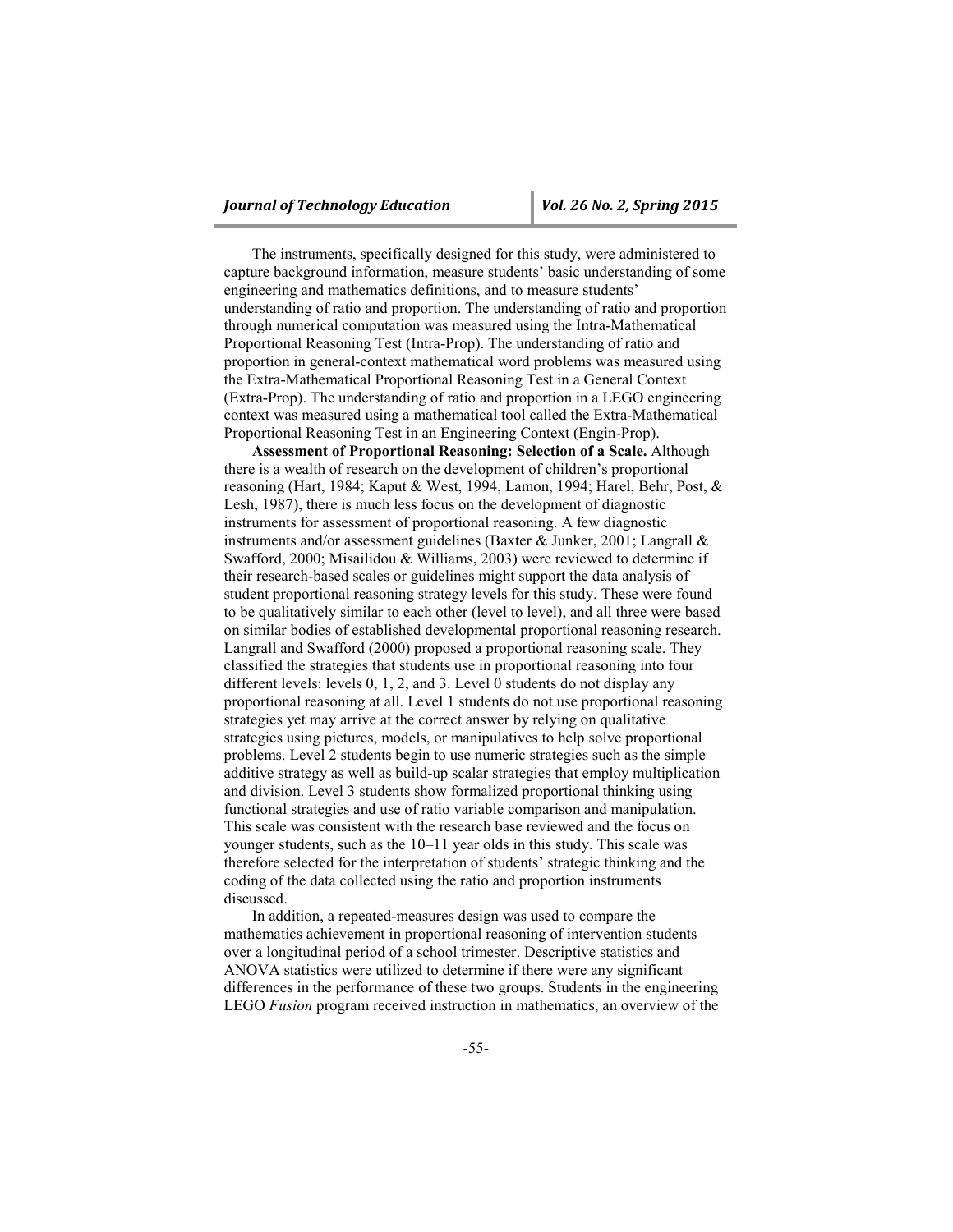The instruments, specifically designed for this study, were administered to capture background information, measure students' basic understanding of some engineering and mathematics definitions, and to measure students' understanding of ratio and proportion. The understanding of ratio and proportion through numerical computation was measured using the Intra-Mathematical Proportional Reasoning Test (Intra-Prop). The understanding of ratio and proportion in general-context mathematical word problems was measured using the Extra-Mathematical Proportional Reasoning Test in a General Context (Extra-Prop). The understanding of ratio and proportion in a LEGO engineering context was measured using a mathematical tool called the Extra-Mathematical Proportional Reasoning Test in an Engineering Context (Engin-Prop).

**Assessment of Proportional Reasoning: Selection of a Scale.** Although there is a wealth of research on the development of children's proportional reasoning (Hart, 1984; Kaput & West, 1994, Lamon, 1994; Harel, Behr, Post, & Lesh, 1987), there is much less focus on the development of diagnostic instruments for assessment of proportional reasoning. A few diagnostic instruments and/or assessment guidelines (Baxter & Junker, 2001; Langrall & Swafford, 2000; Misailidou & Williams, 2003) were reviewed to determine if their research-based scales or guidelines might support the data analysis of student proportional reasoning strategy levels for this study. These were found to be qualitatively similar to each other (level to level), and all three were based on similar bodies of established developmental proportional reasoning research. Langrall and Swafford (2000) proposed a proportional reasoning scale. They classified the strategies that students use in proportional reasoning into four different levels: levels 0, 1, 2, and 3. Level 0 students do not display any proportional reasoning at all. Level 1 students do not use proportional reasoning strategies yet may arrive at the correct answer by relying on qualitative strategies using pictures, models, or manipulatives to help solve proportional problems. Level 2 students begin to use numeric strategies such as the simple additive strategy as well as build-up scalar strategies that employ multiplication and division. Level 3 students show formalized proportional thinking using functional strategies and use of ratio variable comparison and manipulation. This scale was consistent with the research base reviewed and the focus on younger students, such as the 10–11 year olds in this study. This scale was therefore selected for the interpretation of students' strategic thinking and the coding of the data collected using the ratio and proportion instruments discussed.

In addition, a repeated-measures design was used to compare the mathematics achievement in proportional reasoning of intervention students over a longitudinal period of a school trimester. Descriptive statistics and ANOVA statistics were utilized to determine if there were any significant differences in the performance of these two groups. Students in the engineering LEGO *Fusion* program received instruction in mathematics, an overview of the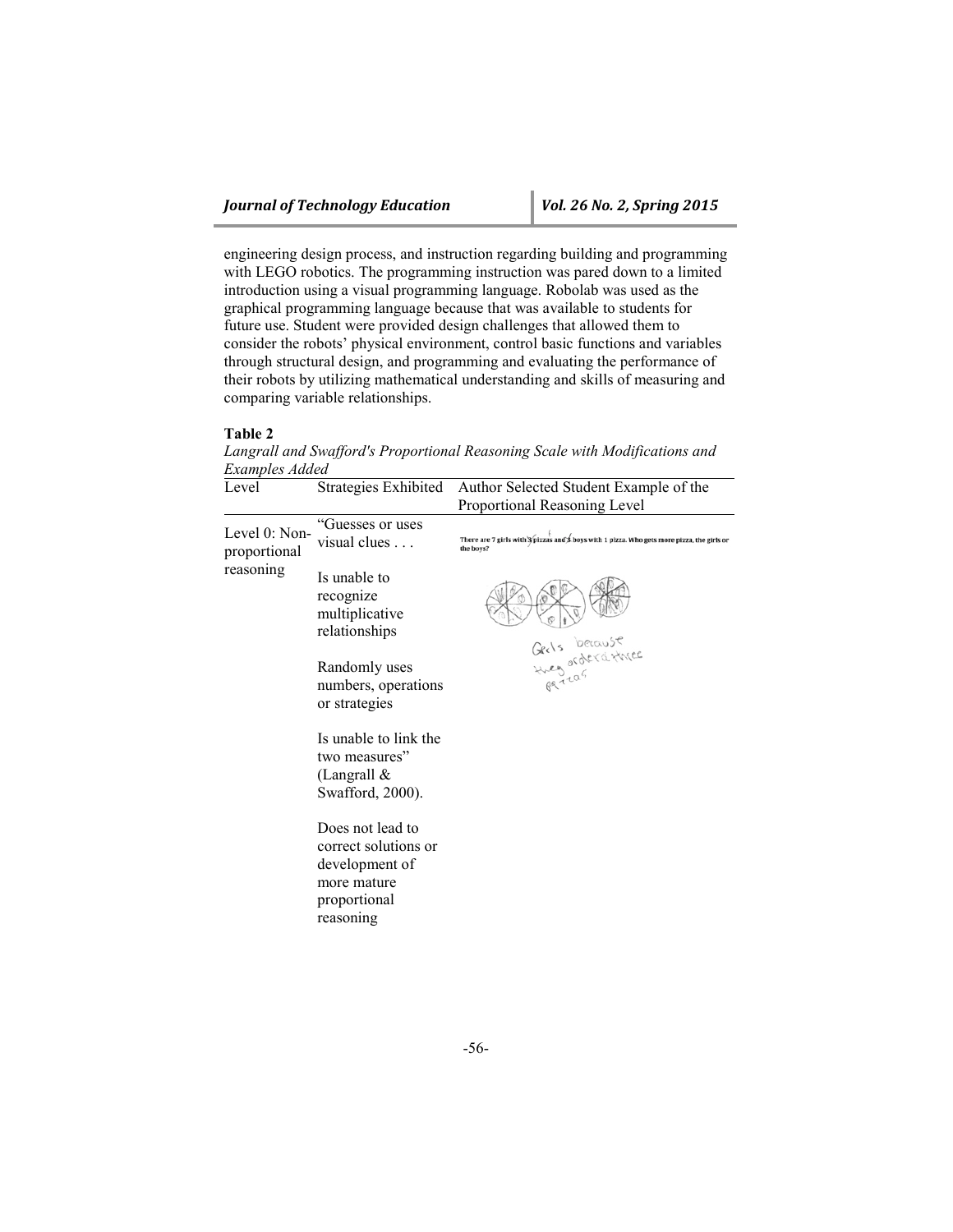engineering design process, and instruction regarding building and programming with LEGO robotics. The programming instruction was pared down to a limited introduction using a visual programming language. Robolab was used as the graphical programming language because that was available to students for future use. Student were provided design challenges that allowed them to consider the robots' physical environment, control basic functions and variables through structural design, and programming and evaluating the performance of their robots by utilizing mathematical understanding and skills of measuring and comparing variable relationships.

#### **Table 2**

*Langrall and Swafford's Proportional Reasoning Scale with Modifications and Examples Added*

| Level                                      | Strategies Exhibited                                                                                   | Author Selected Student Example of the<br>Proportional Reasoning Level                                                |
|--------------------------------------------|--------------------------------------------------------------------------------------------------------|-----------------------------------------------------------------------------------------------------------------------|
| Level 0: Non-<br>proportional<br>reasoning | "Guesses or uses<br>visual clues $\ldots$                                                              | There are 7 girls with <i>opizzas</i> and <b>\$</b> boys with 1 pizza. Who gets more pizza, the girls or<br>the boys? |
|                                            | Is unable to<br>recognize<br>multiplicative<br>relationships                                           |                                                                                                                       |
|                                            | Randomly uses<br>numbers, operations<br>or strategies                                                  | Gerls because<br>Hues orderathece<br>pareas                                                                           |
|                                            | Is unable to link the<br>two measures"<br>(Langrall $\&$<br>Swafford, 2000).                           |                                                                                                                       |
|                                            | Does not lead to<br>correct solutions or<br>development of<br>more mature<br>proportional<br>reasoning |                                                                                                                       |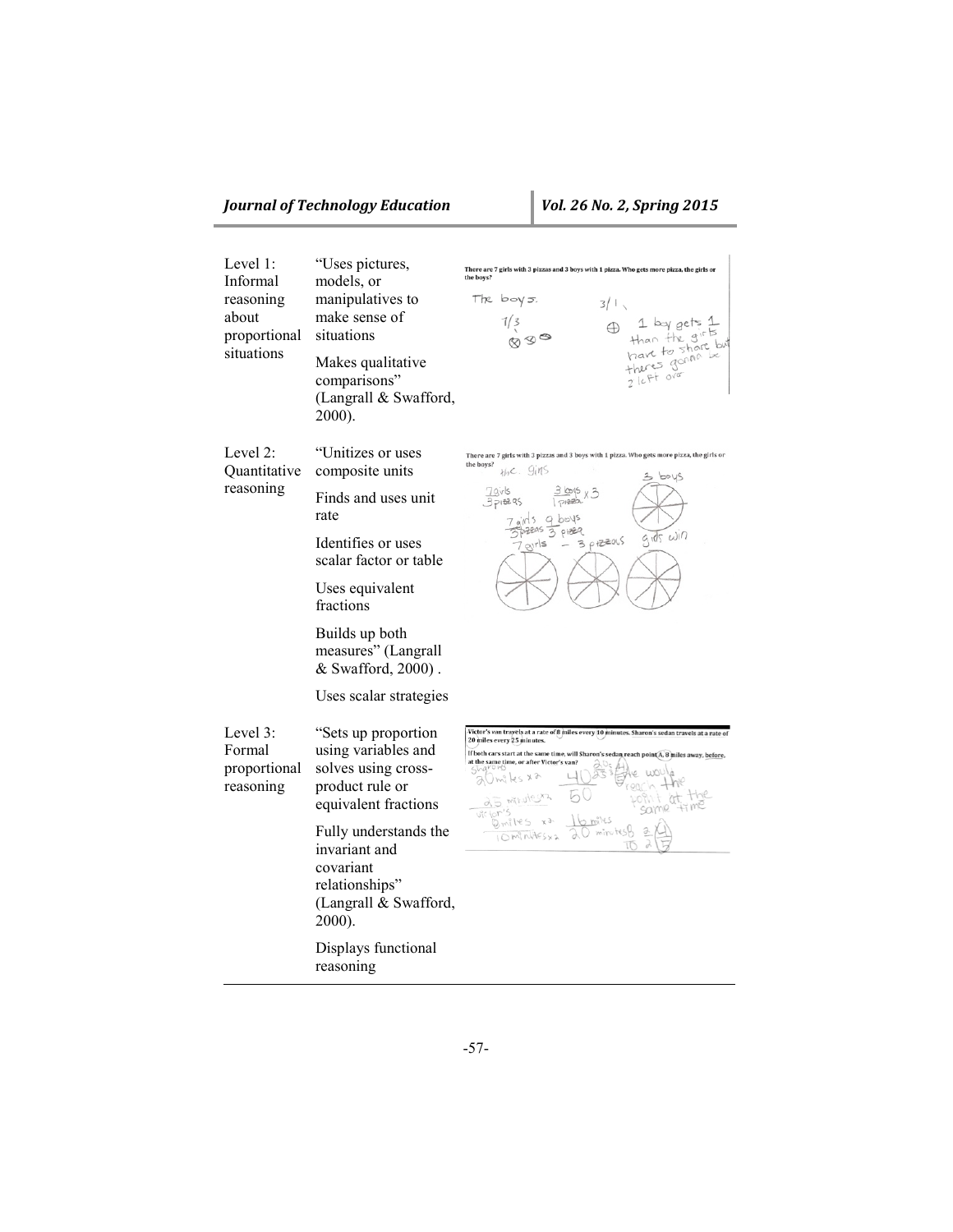## *Journal of Technology Education Vol. 26 No. 2, Spring 2015*

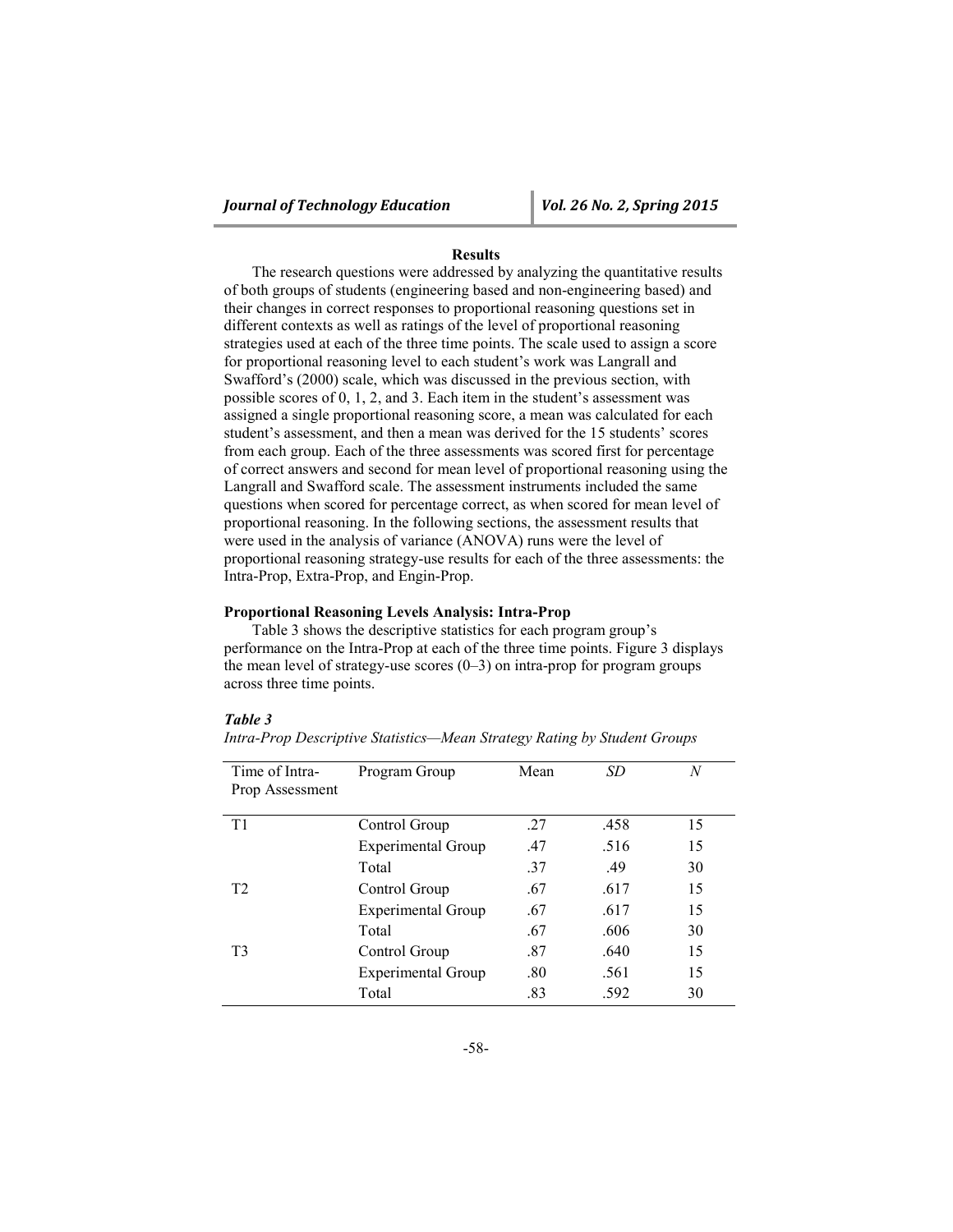#### **Results**

The research questions were addressed by analyzing the quantitative results of both groups of students (engineering based and non-engineering based) and their changes in correct responses to proportional reasoning questions set in different contexts as well as ratings of the level of proportional reasoning strategies used at each of the three time points. The scale used to assign a score for proportional reasoning level to each student's work was Langrall and Swafford's (2000) scale, which was discussed in the previous section, with possible scores of 0, 1, 2, and 3. Each item in the student's assessment was assigned a single proportional reasoning score, a mean was calculated for each student's assessment, and then a mean was derived for the 15 students' scores from each group. Each of the three assessments was scored first for percentage of correct answers and second for mean level of proportional reasoning using the Langrall and Swafford scale. The assessment instruments included the same questions when scored for percentage correct, as when scored for mean level of proportional reasoning. In the following sections, the assessment results that were used in the analysis of variance (ANOVA) runs were the level of proportional reasoning strategy-use results for each of the three assessments: the Intra-Prop, Extra-Prop, and Engin-Prop.

#### **Proportional Reasoning Levels Analysis: Intra-Prop**

Table 3 shows the descriptive statistics for each program group's performance on the Intra-Prop at each of the three time points. Figure 3 displays the mean level of strategy-use scores  $(0-3)$  on intra-prop for program groups across three time points.

#### *Table 3*

| Time of Intra-<br>Prop Assessment | Program Group             | Mean | SD   | N  |
|-----------------------------------|---------------------------|------|------|----|
| T1                                | Control Group             | .27  | .458 | 15 |
|                                   | <b>Experimental Group</b> | .47  | .516 | 15 |
|                                   | Total                     | .37  | .49  | 30 |
| T <sub>2</sub>                    | Control Group             | .67  | .617 | 15 |
|                                   | <b>Experimental Group</b> | .67  | .617 | 15 |
|                                   | Total                     | .67  | .606 | 30 |
| T <sub>3</sub>                    | Control Group             | .87  | .640 | 15 |
|                                   | <b>Experimental Group</b> | .80  | .561 | 15 |
|                                   | Total                     | .83  | .592 | 30 |

*Intra-Prop Descriptive Statistics—Mean Strategy Rating by Student Groups*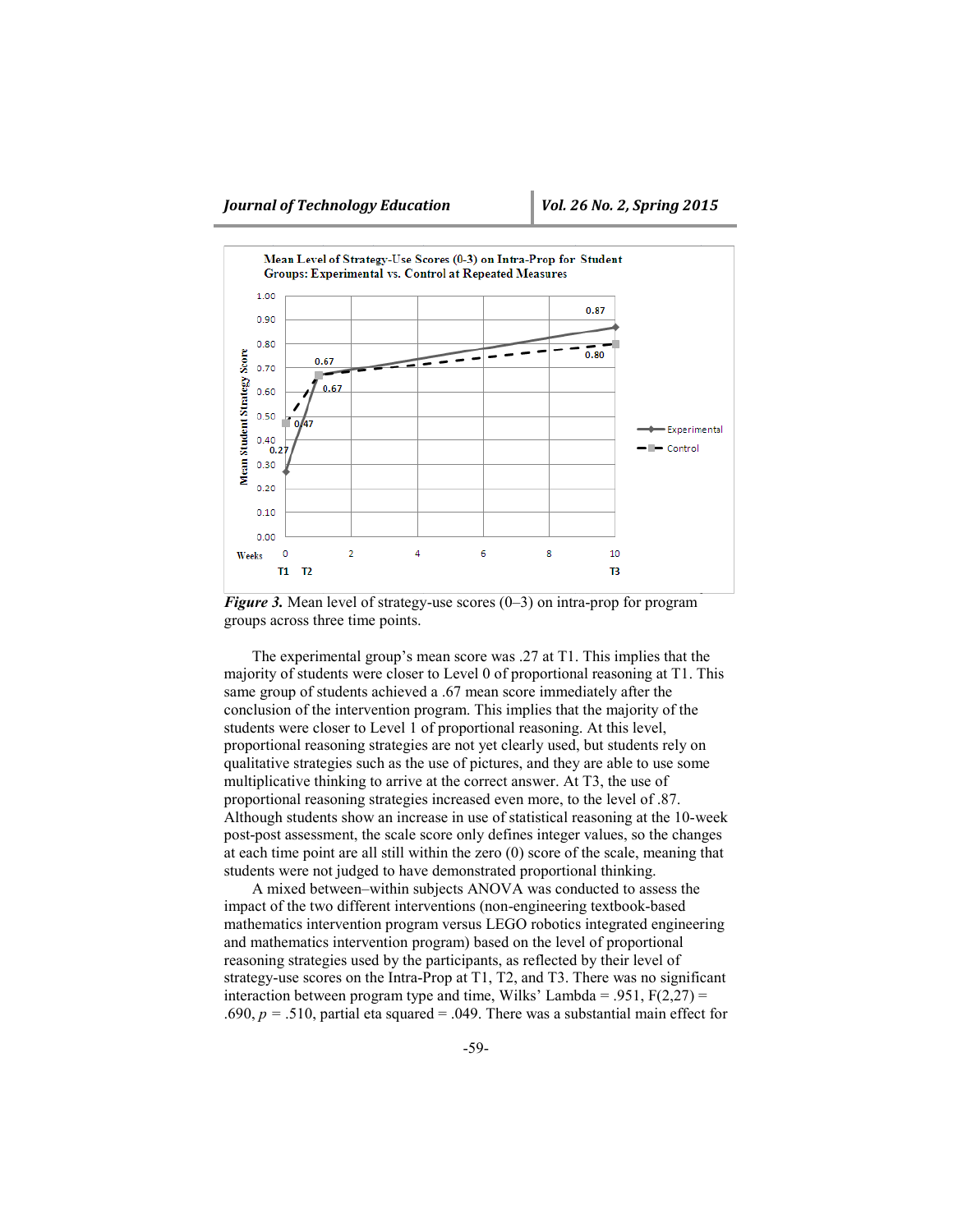

*Figure 3.* Mean level of strategy-use scores (0–3) on intra-prop for program groups across three time points.

The experimental group's mean score was .27 at T1. This implies that the majority of students were closer to Level 0 of proportional reasoning at T1. This same group of students achieved a .67 mean score immediately after the conclusion of the intervention program. This implies that the majority of the students were closer to Level 1 of proportional reasoning. At this level, proportional reasoning strategies are not yet clearly used, but students rely on qualitative strategies such as the use of pictures, and they are able to use some multiplicative thinking to arrive at the correct answer. At T3, the use of proportional reasoning strategies increased even more, to the level of .87. Although students show an increase in use of statistical reasoning at the 10-week post-post assessment, the scale score only defines integer values, so the changes at each time point are all still within the zero (0) score of the scale, meaning that students were not judged to have demonstrated proportional thinking.

A mixed between–within subjects ANOVA was conducted to assess the impact of the two different interventions (non-engineering textbook-based mathematics intervention program versus LEGO robotics integrated engineering and mathematics intervention program) based on the level of proportional reasoning strategies used by the participants, as reflected by their level of strategy-use scores on the Intra-Prop at T1, T2, and T3. There was no significant interaction between program type and time, Wilks' Lambda = .951,  $F(2,27)$  = .690, *p =* .510, partial eta squared = .049. There was a substantial main effect for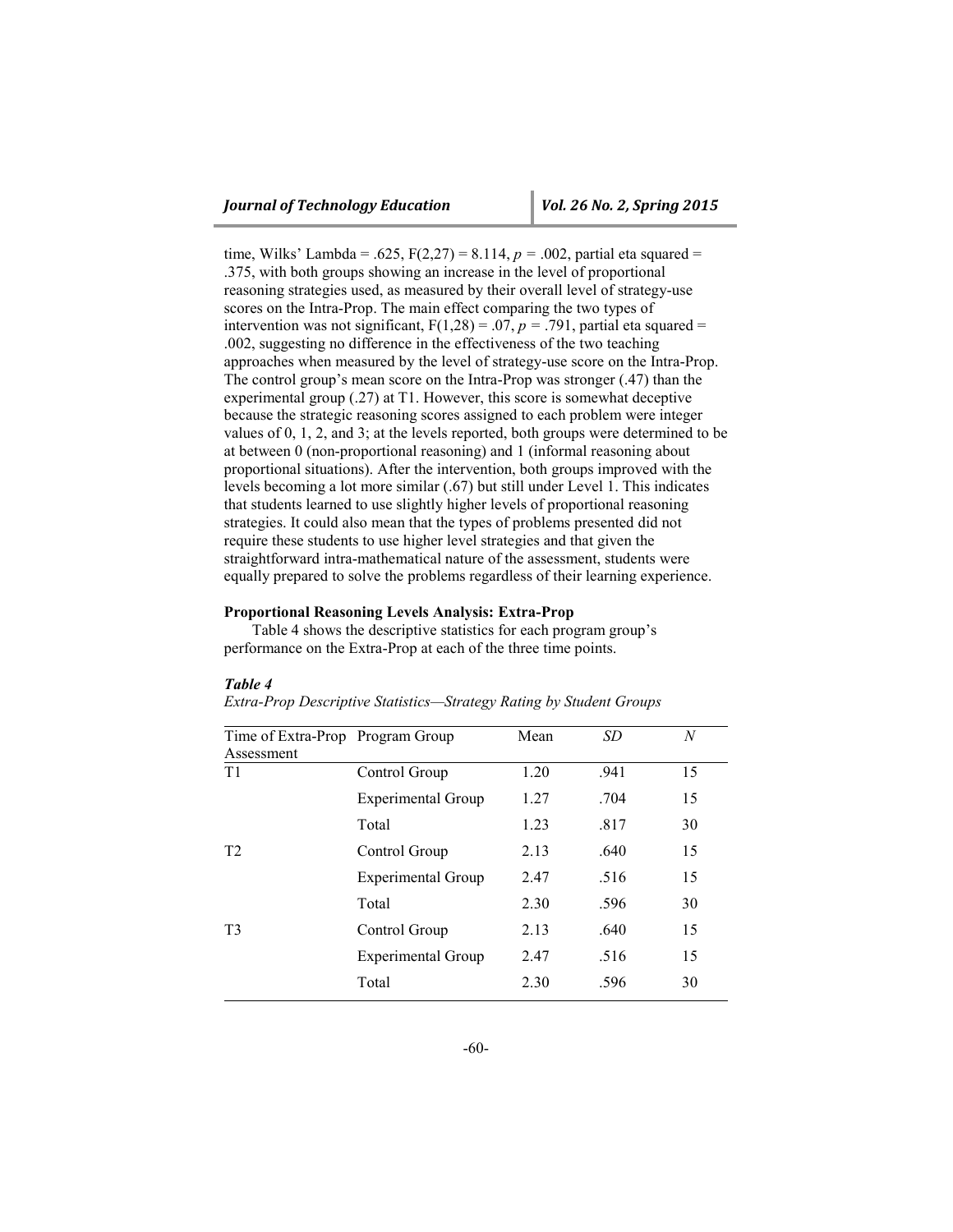time, Wilks' Lambda = .625,  $F(2,27) = 8.114$ ,  $p = .002$ , partial eta squared = .375, with both groups showing an increase in the level of proportional reasoning strategies used, as measured by their overall level of strategy-use scores on the Intra-Prop. The main effect comparing the two types of intervention was not significant,  $F(1,28) = .07$ ,  $p = .791$ , partial eta squared = .002, suggesting no difference in the effectiveness of the two teaching approaches when measured by the level of strategy-use score on the Intra-Prop. The control group's mean score on the Intra-Prop was stronger (.47) than the experimental group (.27) at T1. However, this score is somewhat deceptive because the strategic reasoning scores assigned to each problem were integer values of 0, 1, 2, and 3; at the levels reported, both groups were determined to be at between 0 (non-proportional reasoning) and 1 (informal reasoning about proportional situations). After the intervention, both groups improved with the levels becoming a lot more similar (.67) but still under Level 1. This indicates that students learned to use slightly higher levels of proportional reasoning strategies. It could also mean that the types of problems presented did not require these students to use higher level strategies and that given the straightforward intra-mathematical nature of the assessment, students were equally prepared to solve the problems regardless of their learning experience.

#### **Proportional Reasoning Levels Analysis: Extra-Prop**

Table 4 shows the descriptive statistics for each program group's performance on the Extra-Prop at each of the three time points.

| Time of Extra-Prop Program Group |                           | Mean | SD   | N  |
|----------------------------------|---------------------------|------|------|----|
| Assessment                       |                           |      |      |    |
| T1                               | Control Group             | 1.20 | .941 | 15 |
|                                  | <b>Experimental Group</b> | 1.27 | .704 | 15 |
|                                  | Total                     | 1.23 | .817 | 30 |
| T <sub>2</sub>                   | Control Group             | 2.13 | .640 | 15 |
|                                  | <b>Experimental Group</b> | 2.47 | .516 | 15 |
|                                  | Total                     | 2.30 | .596 | 30 |
| T <sup>3</sup>                   | Control Group             | 2.13 | .640 | 15 |
|                                  | <b>Experimental Group</b> | 2.47 | .516 | 15 |
|                                  | Total                     | 2.30 | .596 | 30 |

#### *Table 4 Extra-Prop Descriptive Statistics—Strategy Rating by Student Groups*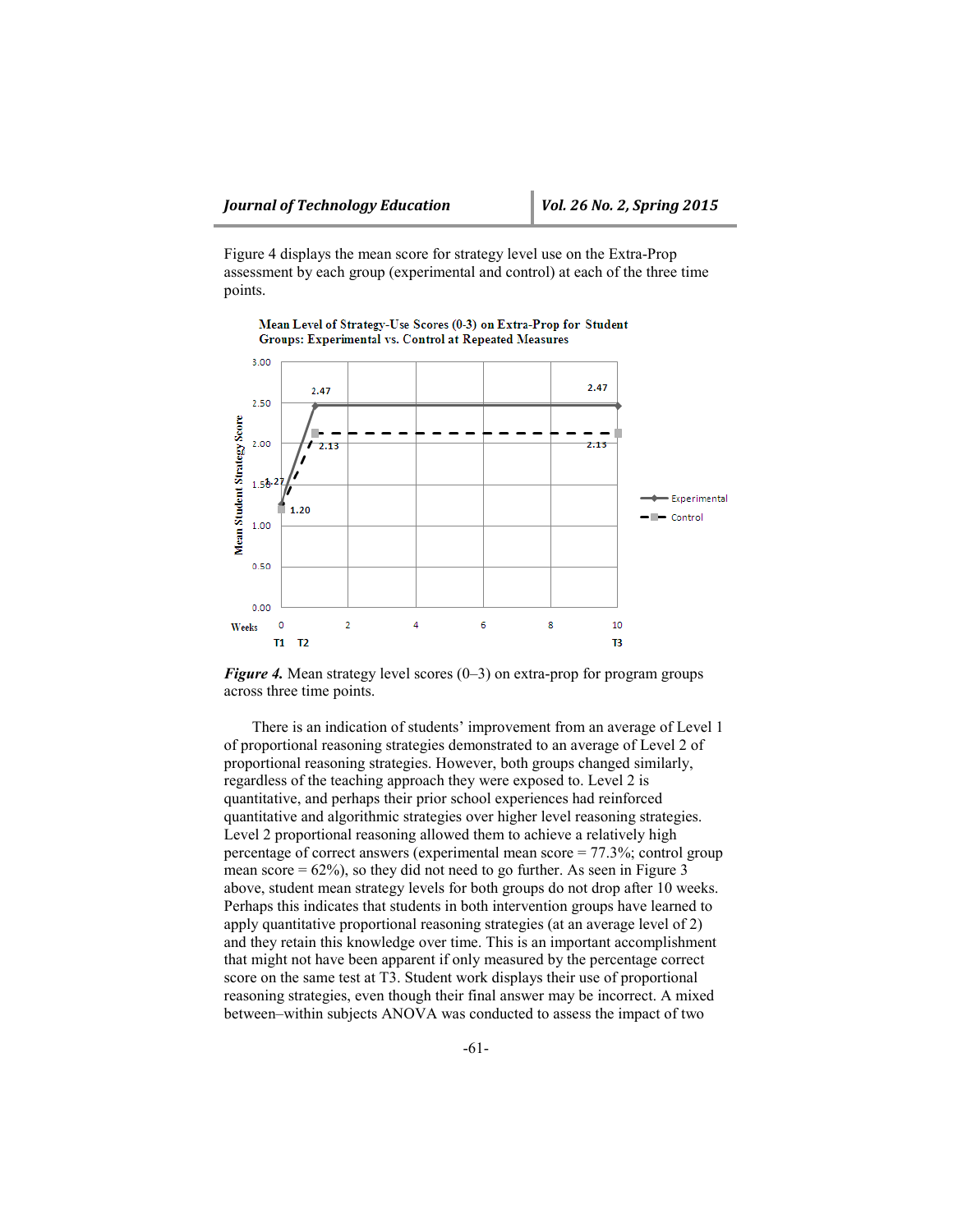Figure 4 displays the mean score for strategy level use on the Extra-Prop assessment by each group (experimental and control) at each of the three time points.



Mean Level of Strategy-Use Scores (0-3) on Extra-Prop for Student Groups: Experimental vs. Control at Repeated Measures

*Figure 4.* Mean strategy level scores (0–3) on extra-prop for program groups across three time points.

There is an indication of students' improvement from an average of Level 1 of proportional reasoning strategies demonstrated to an average of Level 2 of proportional reasoning strategies. However, both groups changed similarly, regardless of the teaching approach they were exposed to. Level 2 is quantitative, and perhaps their prior school experiences had reinforced quantitative and algorithmic strategies over higher level reasoning strategies. Level 2 proportional reasoning allowed them to achieve a relatively high percentage of correct answers (experimental mean score = 77.3%; control group mean score  $= 62\%$ , so they did not need to go further. As seen in Figure 3 above, student mean strategy levels for both groups do not drop after 10 weeks. Perhaps this indicates that students in both intervention groups have learned to apply quantitative proportional reasoning strategies (at an average level of 2) and they retain this knowledge over time. This is an important accomplishment that might not have been apparent if only measured by the percentage correct score on the same test at T3. Student work displays their use of proportional reasoning strategies, even though their final answer may be incorrect. A mixed between–within subjects ANOVA was conducted to assess the impact of two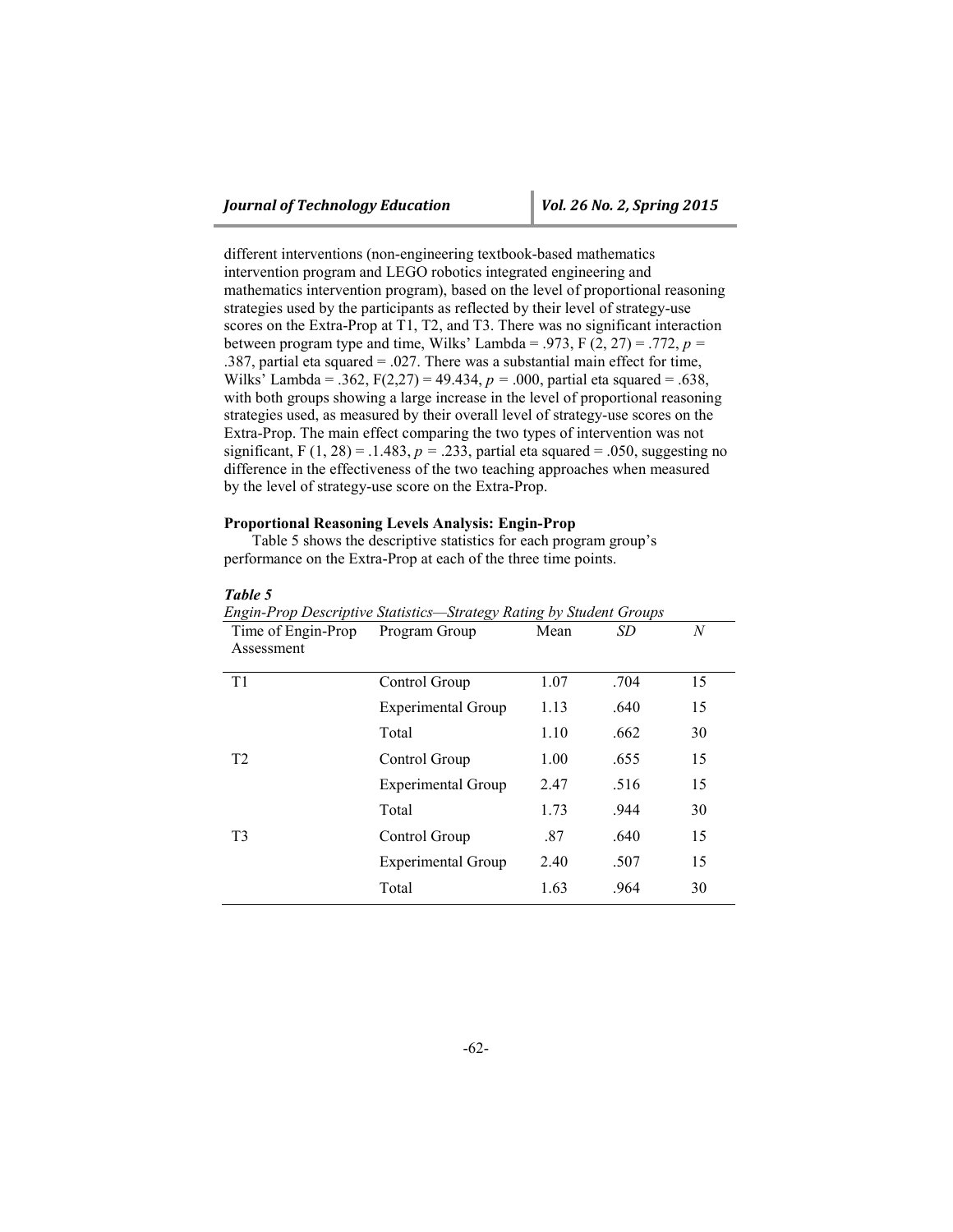different interventions (non-engineering textbook-based mathematics intervention program and LEGO robotics integrated engineering and mathematics intervention program), based on the level of proportional reasoning strategies used by the participants as reflected by their level of strategy-use scores on the Extra-Prop at T1, T2, and T3. There was no significant interaction between program type and time, Wilks' Lambda = .973,  $F(2, 27) = .772$ ,  $p =$ .387, partial eta squared = .027. There was a substantial main effect for time, Wilks' Lambda = .362, F(2,27) = 49.434, *p =* .000, partial eta squared = .638, with both groups showing a large increase in the level of proportional reasoning strategies used, as measured by their overall level of strategy-use scores on the Extra-Prop. The main effect comparing the two types of intervention was not significant, F  $(1, 28) = .1.483$ ,  $p = .233$ , partial eta squared = .050, suggesting no difference in the effectiveness of the two teaching approaches when measured by the level of strategy-use score on the Extra-Prop.

#### **Proportional Reasoning Levels Analysis: Engin-Prop**

Table 5 shows the descriptive statistics for each program group's performance on the Extra-Prop at each of the three time points.

| Engin-Prop Descriptive Statistics—Strategy Rating by Student Groups |                           |      |      |    |
|---------------------------------------------------------------------|---------------------------|------|------|----|
| Time of Engin-Prop                                                  | Program Group             | Mean | SD   | N  |
| Assessment                                                          |                           |      |      |    |
| T1                                                                  | Control Group             | 1.07 | .704 | 15 |
|                                                                     | <b>Experimental Group</b> | 1.13 | .640 | 15 |
|                                                                     | Total                     | 1.10 | .662 | 30 |
| T <sub>2</sub>                                                      | Control Group             | 1.00 | .655 | 15 |
|                                                                     | <b>Experimental Group</b> | 2.47 | .516 | 15 |
|                                                                     | Total                     | 1.73 | .944 | 30 |
| T <sub>3</sub>                                                      | Control Group             | .87  | .640 | 15 |
|                                                                     | <b>Experimental Group</b> | 2.40 | .507 | 15 |
|                                                                     | Total                     | 1.63 | .964 | 30 |

#### *Table 5*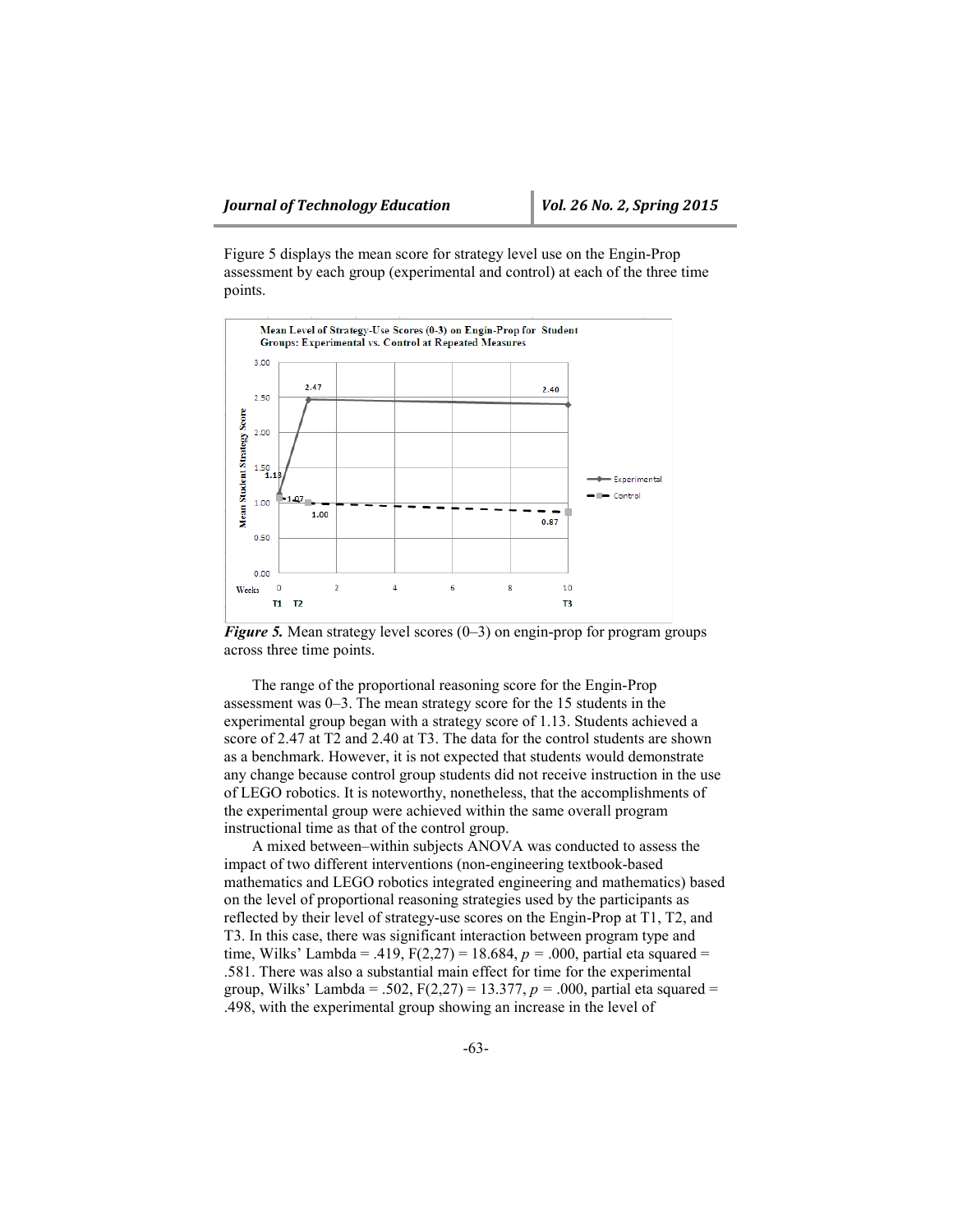Figure 5 displays the mean score for strategy level use on the Engin-Prop assessment by each group (experimental and control) at each of the three time points.



*Figure 5.* Mean strategy level scores (0–3) on engin-prop for program groups across three time points.

The range of the proportional reasoning score for the Engin-Prop assessment was 0–3. The mean strategy score for the 15 students in the experimental group began with a strategy score of 1.13. Students achieved a score of 2.47 at T2 and 2.40 at T3. The data for the control students are shown as a benchmark. However, it is not expected that students would demonstrate any change because control group students did not receive instruction in the use of LEGO robotics. It is noteworthy, nonetheless, that the accomplishments of the experimental group were achieved within the same overall program instructional time as that of the control group.

A mixed between–within subjects ANOVA was conducted to assess the impact of two different interventions (non-engineering textbook-based mathematics and LEGO robotics integrated engineering and mathematics) based on the level of proportional reasoning strategies used by the participants as reflected by their level of strategy-use scores on the Engin-Prop at T1, T2, and T3. In this case, there was significant interaction between program type and time, Wilks' Lambda = .419, F(2,27) = 18.684, *p =* .000, partial eta squared = .581. There was also a substantial main effect for time for the experimental group, Wilks' Lambda = .502, F(2,27) = 13.377, *p =* .000, partial eta squared = .498, with the experimental group showing an increase in the level of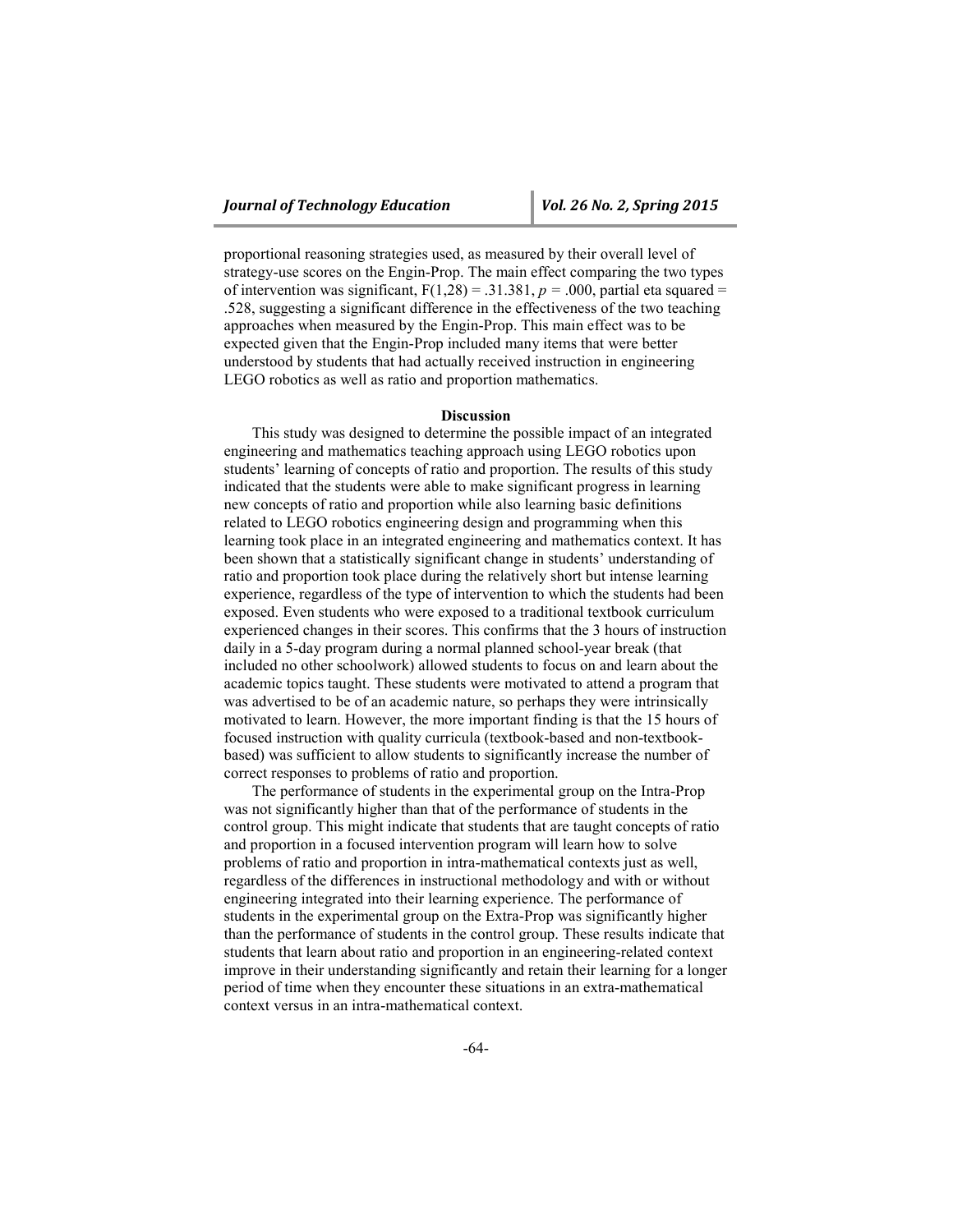proportional reasoning strategies used, as measured by their overall level of strategy-use scores on the Engin-Prop. The main effect comparing the two types of intervention was significant,  $F(1,28) = .31.381$ ,  $p = .000$ , partial eta squared = .528, suggesting a significant difference in the effectiveness of the two teaching approaches when measured by the Engin-Prop. This main effect was to be expected given that the Engin-Prop included many items that were better understood by students that had actually received instruction in engineering LEGO robotics as well as ratio and proportion mathematics.

#### **Discussion**

This study was designed to determine the possible impact of an integrated engineering and mathematics teaching approach using LEGO robotics upon students' learning of concepts of ratio and proportion. The results of this study indicated that the students were able to make significant progress in learning new concepts of ratio and proportion while also learning basic definitions related to LEGO robotics engineering design and programming when this learning took place in an integrated engineering and mathematics context. It has been shown that a statistically significant change in students' understanding of ratio and proportion took place during the relatively short but intense learning experience, regardless of the type of intervention to which the students had been exposed. Even students who were exposed to a traditional textbook curriculum experienced changes in their scores. This confirms that the 3 hours of instruction daily in a 5-day program during a normal planned school-year break (that included no other schoolwork) allowed students to focus on and learn about the academic topics taught. These students were motivated to attend a program that was advertised to be of an academic nature, so perhaps they were intrinsically motivated to learn. However, the more important finding is that the 15 hours of focused instruction with quality curricula (textbook-based and non-textbookbased) was sufficient to allow students to significantly increase the number of correct responses to problems of ratio and proportion.

The performance of students in the experimental group on the Intra-Prop was not significantly higher than that of the performance of students in the control group. This might indicate that students that are taught concepts of ratio and proportion in a focused intervention program will learn how to solve problems of ratio and proportion in intra-mathematical contexts just as well, regardless of the differences in instructional methodology and with or without engineering integrated into their learning experience. The performance of students in the experimental group on the Extra-Prop was significantly higher than the performance of students in the control group. These results indicate that students that learn about ratio and proportion in an engineering-related context improve in their understanding significantly and retain their learning for a longer period of time when they encounter these situations in an extra-mathematical context versus in an intra-mathematical context.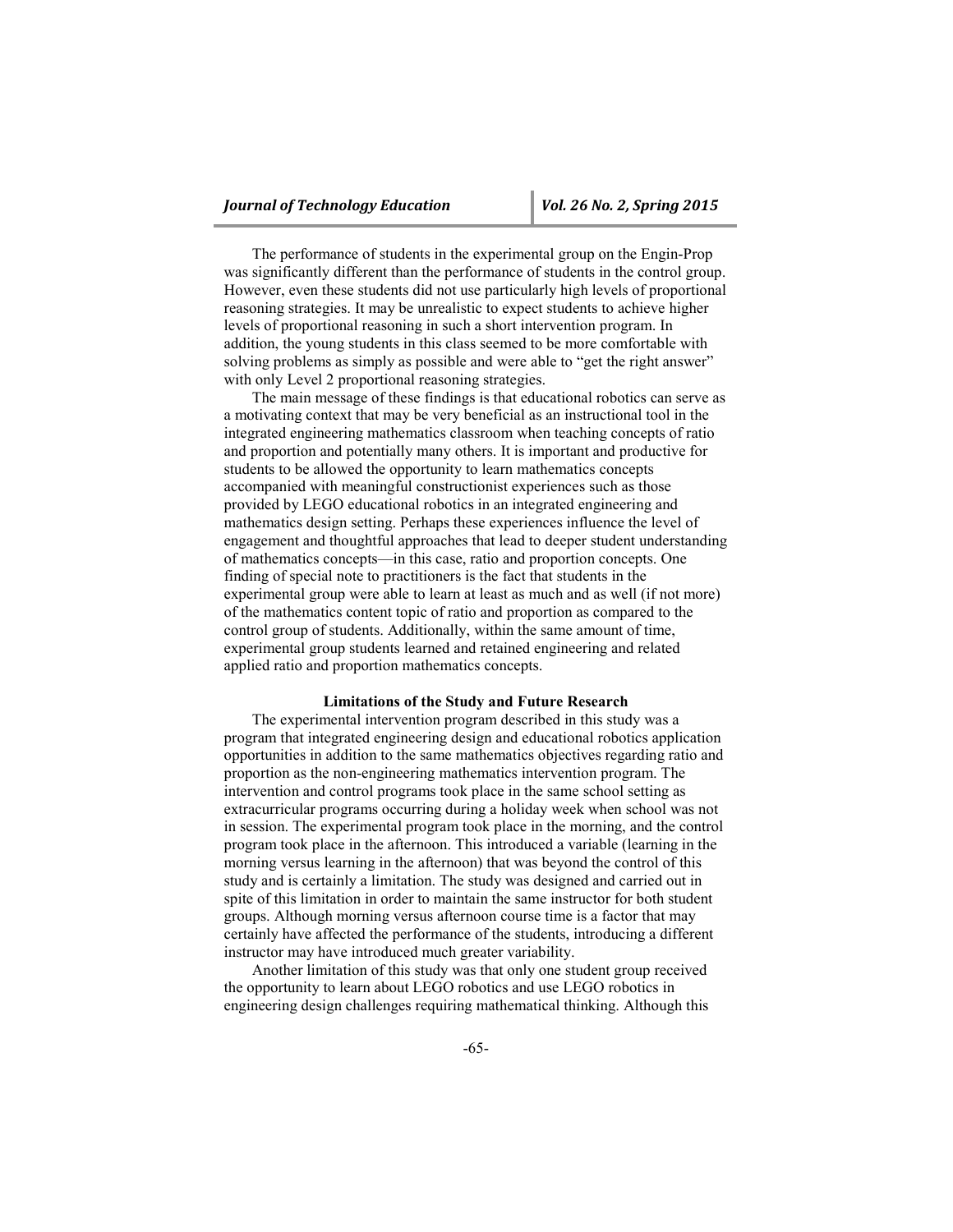The performance of students in the experimental group on the Engin-Prop was significantly different than the performance of students in the control group. However, even these students did not use particularly high levels of proportional reasoning strategies. It may be unrealistic to expect students to achieve higher levels of proportional reasoning in such a short intervention program. In addition, the young students in this class seemed to be more comfortable with solving problems as simply as possible and were able to "get the right answer" with only Level 2 proportional reasoning strategies.

The main message of these findings is that educational robotics can serve as a motivating context that may be very beneficial as an instructional tool in the integrated engineering mathematics classroom when teaching concepts of ratio and proportion and potentially many others. It is important and productive for students to be allowed the opportunity to learn mathematics concepts accompanied with meaningful constructionist experiences such as those provided by LEGO educational robotics in an integrated engineering and mathematics design setting. Perhaps these experiences influence the level of engagement and thoughtful approaches that lead to deeper student understanding of mathematics concepts—in this case, ratio and proportion concepts. One finding of special note to practitioners is the fact that students in the experimental group were able to learn at least as much and as well (if not more) of the mathematics content topic of ratio and proportion as compared to the control group of students. Additionally, within the same amount of time, experimental group students learned and retained engineering and related applied ratio and proportion mathematics concepts.

#### **Limitations of the Study and Future Research**

The experimental intervention program described in this study was a program that integrated engineering design and educational robotics application opportunities in addition to the same mathematics objectives regarding ratio and proportion as the non-engineering mathematics intervention program. The intervention and control programs took place in the same school setting as extracurricular programs occurring during a holiday week when school was not in session. The experimental program took place in the morning, and the control program took place in the afternoon. This introduced a variable (learning in the morning versus learning in the afternoon) that was beyond the control of this study and is certainly a limitation. The study was designed and carried out in spite of this limitation in order to maintain the same instructor for both student groups. Although morning versus afternoon course time is a factor that may certainly have affected the performance of the students, introducing a different instructor may have introduced much greater variability.

Another limitation of this study was that only one student group received the opportunity to learn about LEGO robotics and use LEGO robotics in engineering design challenges requiring mathematical thinking. Although this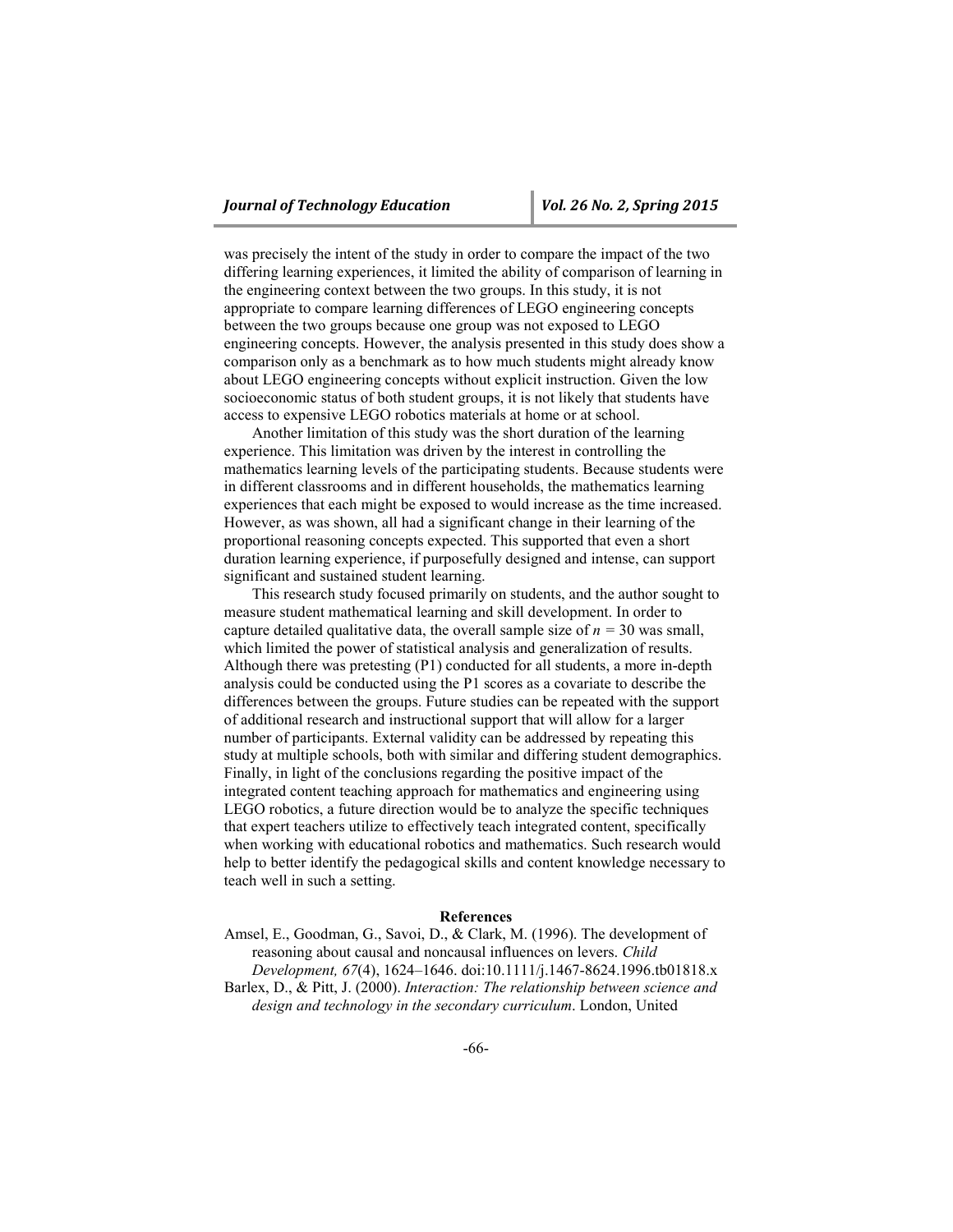was precisely the intent of the study in order to compare the impact of the two differing learning experiences, it limited the ability of comparison of learning in the engineering context between the two groups. In this study, it is not appropriate to compare learning differences of LEGO engineering concepts between the two groups because one group was not exposed to LEGO engineering concepts. However, the analysis presented in this study does show a comparison only as a benchmark as to how much students might already know about LEGO engineering concepts without explicit instruction. Given the low socioeconomic status of both student groups, it is not likely that students have access to expensive LEGO robotics materials at home or at school.

Another limitation of this study was the short duration of the learning experience. This limitation was driven by the interest in controlling the mathematics learning levels of the participating students. Because students were in different classrooms and in different households, the mathematics learning experiences that each might be exposed to would increase as the time increased. However, as was shown, all had a significant change in their learning of the proportional reasoning concepts expected. This supported that even a short duration learning experience, if purposefully designed and intense, can support significant and sustained student learning.

This research study focused primarily on students, and the author sought to measure student mathematical learning and skill development. In order to capture detailed qualitative data, the overall sample size of  $n = 30$  was small, which limited the power of statistical analysis and generalization of results. Although there was pretesting (P1) conducted for all students, a more in-depth analysis could be conducted using the P1 scores as a covariate to describe the differences between the groups. Future studies can be repeated with the support of additional research and instructional support that will allow for a larger number of participants. External validity can be addressed by repeating this study at multiple schools, both with similar and differing student demographics. Finally, in light of the conclusions regarding the positive impact of the integrated content teaching approach for mathematics and engineering using LEGO robotics, a future direction would be to analyze the specific techniques that expert teachers utilize to effectively teach integrated content, specifically when working with educational robotics and mathematics. Such research would help to better identify the pedagogical skills and content knowledge necessary to teach well in such a setting.

#### **References**

Amsel, E., Goodman, G., Savoi, D., & Clark, M. (1996). The development of reasoning about causal and noncausal influences on levers. *Child Development, 67*(4), 1624–1646. doi:10.1111/j.1467-8624.1996.tb01818.x Barlex, D., & Pitt, J. (2000). *Interaction: The relationship between science and design and technology in the secondary curriculum*. London, United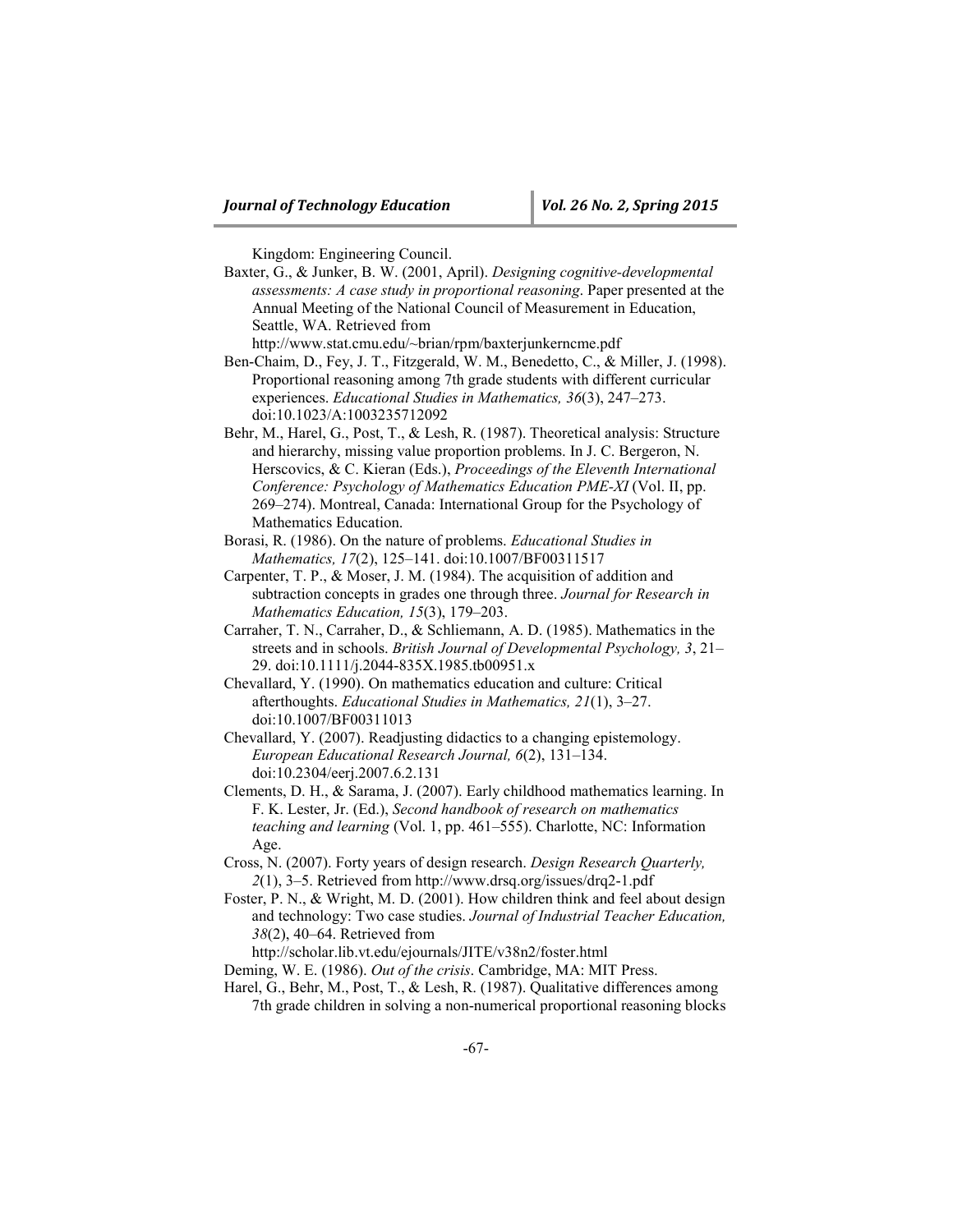Kingdom: Engineering Council.

Baxter, G., & Junker, B. W. (2001, April). *Designing cognitive-developmental assessments: A case study in proportional reasoning*. Paper presented at the Annual Meeting of the National Council of Measurement in Education, Seattle, WA. Retrieved from

http://www.stat.cmu.edu/~brian/rpm/baxterjunkerncme.pdf

- Ben-Chaim, D., Fey, J. T., Fitzgerald, W. M., Benedetto, C., & Miller, J. (1998). Proportional reasoning among 7th grade students with different curricular experiences. *Educational Studies in Mathematics, 36*(3), 247–273. doi:10.1023/A:1003235712092
- Behr, M., Harel, G., Post, T., & Lesh, R. (1987). Theoretical analysis: Structure and hierarchy, missing value proportion problems. In J. C. Bergeron, N. Herscovics, & C. Kieran (Eds.), *Proceedings of the Eleventh International Conference: Psychology of Mathematics Education PME-XI* (Vol. II, pp. 269–274). Montreal, Canada: International Group for the Psychology of Mathematics Education.
- Borasi, R. (1986). On the nature of problems. *Educational Studies in Mathematics, 17*(2), 125–141. doi:10.1007/BF00311517
- Carpenter, T. P., & Moser, J. M. (1984). The acquisition of addition and subtraction concepts in grades one through three. *Journal for Research in Mathematics Education, 15*(3), 179–203.
- Carraher, T. N., Carraher, D., & Schliemann, A. D. (1985). Mathematics in the streets and in schools. *British Journal of Developmental Psychology, 3*, 21– 29. doi:10.1111/j.2044-835X.1985.tb00951.x
- Chevallard, Y. (1990). On mathematics education and culture: Critical afterthoughts. *Educational Studies in Mathematics, 21*(1), 3–27. doi:10.1007/BF00311013
- Chevallard, Y. (2007). Readjusting didactics to a changing epistemology. *European Educational Research Journal, 6*(2), 131–134. doi:10.2304/eerj.2007.6.2.131
- Clements, D. H., & Sarama, J. (2007). Early childhood mathematics learning. In F. K. Lester, Jr. (Ed.), *Second handbook of research on mathematics teaching and learning* (Vol. 1, pp. 461–555). Charlotte, NC: Information Age.
- Cross, N. (2007). Forty years of design research. *Design Research Quarterly, 2*(1), 3–5. Retrieved from http://www.drsq.org/issues/drq2-1.pdf
- Foster, P. N., & Wright, M. D. (2001). How children think and feel about design and technology: Two case studies. *Journal of Industrial Teacher Education, 38*(2), 40–64. Retrieved from

http://scholar.lib.vt.edu/ejournals/JITE/v38n2/foster.html

Deming, W. E. (1986). *Out of the crisis*. Cambridge, MA: MIT Press.

Harel, G., Behr, M., Post, T., & Lesh, R. (1987). Qualitative differences among 7th grade children in solving a non-numerical proportional reasoning blocks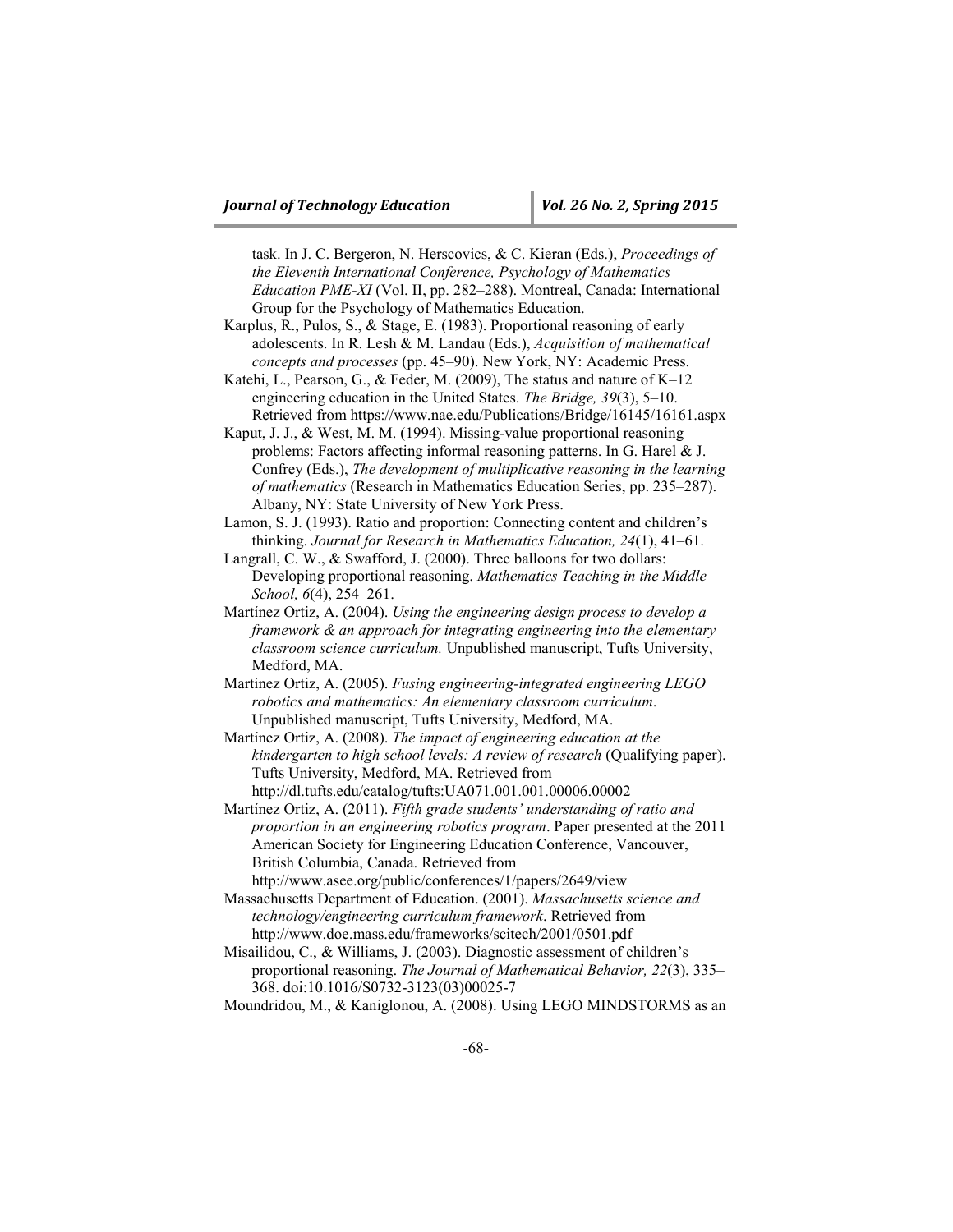task. In J. C. Bergeron, N. Herscovics, & C. Kieran (Eds.), *Proceedings of the Eleventh International Conference, Psychology of Mathematics Education PME-XI* (Vol. II, pp. 282–288). Montreal, Canada: International Group for the Psychology of Mathematics Education.

- Karplus, R., Pulos, S., & Stage, E. (1983). Proportional reasoning of early adolescents. In R. Lesh & M. Landau (Eds.), *Acquisition of mathematical concepts and processes* (pp. 45–90). New York, NY: Academic Press.
- Katehi, L., Pearson, G., & Feder, M. (2009), The status and nature of K–12 engineering education in the United States. *The Bridge, 39*(3), 5–10. Retrieved from https://www.nae.edu/Publications/Bridge/16145/16161.aspx
- Kaput, J. J., & West, M. M. (1994). Missing-value proportional reasoning problems: Factors affecting informal reasoning patterns. In G. Harel & J. Confrey (Eds.), *The development of multiplicative reasoning in the learning of mathematics* (Research in Mathematics Education Series, pp. 235–287). Albany, NY: State University of New York Press.
- Lamon, S. J. (1993). Ratio and proportion: Connecting content and children's thinking. *Journal for Research in Mathematics Education, 24*(1), 41–61.
- Langrall, C. W., & Swafford, J. (2000). Three balloons for two dollars: Developing proportional reasoning. *Mathematics Teaching in the Middle School, 6*(4), 254–261.
- Martínez Ortiz, A. (2004). *Using the engineering design process to develop a framework & an approach for integrating engineering into the elementary classroom science curriculum.* Unpublished manuscript, Tufts University, Medford, MA.
- Martínez Ortiz, A. (2005). *Fusing engineering-integrated engineering LEGO robotics and mathematics: An elementary classroom curriculum*. Unpublished manuscript, Tufts University, Medford, MA.
- Martínez Ortiz, A. (2008). *The impact of engineering education at the kindergarten to high school levels: A review of research* (Qualifying paper). Tufts University, Medford, MA. Retrieved from http://dl.tufts.edu/catalog/tufts:UA071.001.001.00006.00002
- Martínez Ortiz, A. (2011). *Fifth grade students' understanding of ratio and proportion in an engineering robotics program*. Paper presented at the 2011 American Society for Engineering Education Conference, Vancouver, British Columbia, Canada. Retrieved from http://www.asee.org/public/conferences/1/papers/2649/view
- Massachusetts Department of Education. (2001). *Massachusetts science and technology/engineering curriculum framework*. Retrieved from http://www.doe.mass.edu/frameworks/scitech/2001/0501.pdf
- Misailidou, C., & Williams, J. (2003). Diagnostic assessment of children's proportional reasoning. *The Journal of Mathematical Behavior, 22*(3), 335– 368. doi:10.1016/S0732-3123(03)00025-7

Moundridou, M., & Kaniglonou, A. (2008). Using LEGO MINDSTORMS as an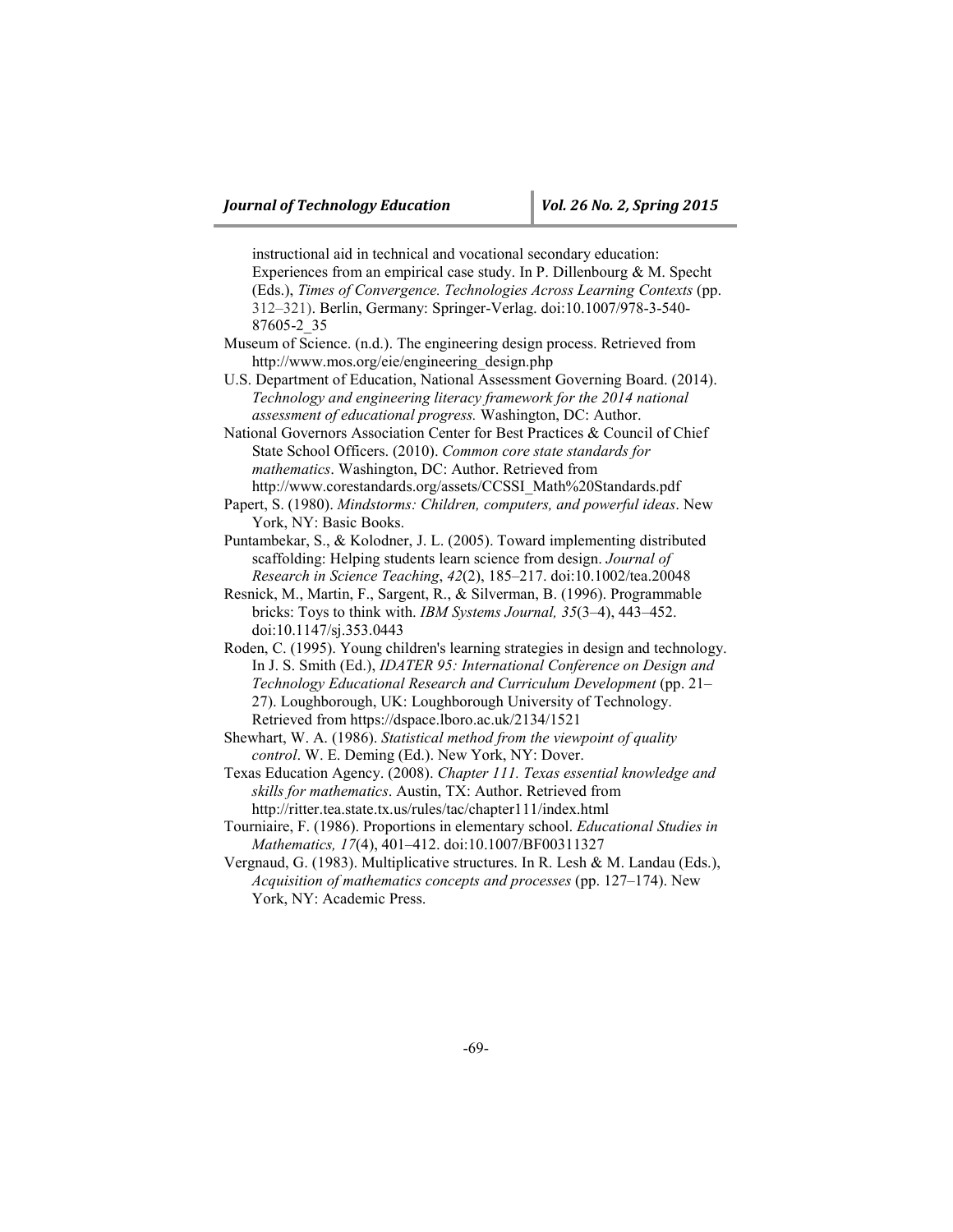instructional aid in technical and vocational secondary education: Experiences from an empirical case study. In P. Dillenbourg & M. Specht (Eds.), *Times of Convergence. Technologies Across Learning Contexts* (pp. 312–321). Berlin, Germany: Springer-Verlag. doi:10.1007/978-3-540- 87605-2\_35

Museum of Science. (n.d.). The engineering design process. Retrieved from http://www.mos.org/eie/engineering\_design.php

U.S. Department of Education, National Assessment Governing Board. (2014). *Technology and engineering literacy framework for the 2014 national assessment of educational progress.* Washington, DC: Author.

National Governors Association Center for Best Practices & Council of Chief State School Officers. (2010). *Common core state standards for mathematics*. Washington, DC: Author. Retrieved from http://www.corestandards.org/assets/CCSSI\_Math%20Standards.pdf

Papert, S. (1980). *Mindstorms: Children, computers, and powerful ideas*. New York, NY: Basic Books.

Puntambekar, S., & Kolodner, J. L. (2005). Toward implementing distributed scaffolding: Helping students learn science from design. *Journal of Research in Science Teaching*, *42*(2), 185–217. doi:10.1002/tea.20048

Resnick, M., Martin, F., Sargent, R., & Silverman, B. (1996). Programmable bricks: Toys to think with. *IBM Systems Journal, 35*(3–4), 443–452. doi:10.1147/sj.353.0443

Roden, C. (1995). Young children's learning strategies in design and technology. In J. S. Smith (Ed.), *IDATER 95: International Conference on Design and Technology Educational Research and Curriculum Development* (pp. 21– 27). Loughborough, UK: Loughborough University of Technology. Retrieved from https://dspace.lboro.ac.uk/2134/1521

Shewhart, W. A. (1986). *Statistical method from the viewpoint of quality control*. W. E. Deming (Ed.). New York, NY: Dover.

Texas Education Agency. (2008). *Chapter 111. Texas essential knowledge and skills for mathematics*. Austin, TX: Author. Retrieved from http://ritter.tea.state.tx.us/rules/tac/chapter111/index.html

Tourniaire, F. (1986). Proportions in elementary school. *Educational Studies in Mathematics, 17*(4), 401–412. doi:10.1007/BF00311327

Vergnaud, G. (1983). Multiplicative structures. In R. Lesh & M. Landau (Eds.), *Acquisition of mathematics concepts and processes* (pp. 127–174). New York, NY: Academic Press.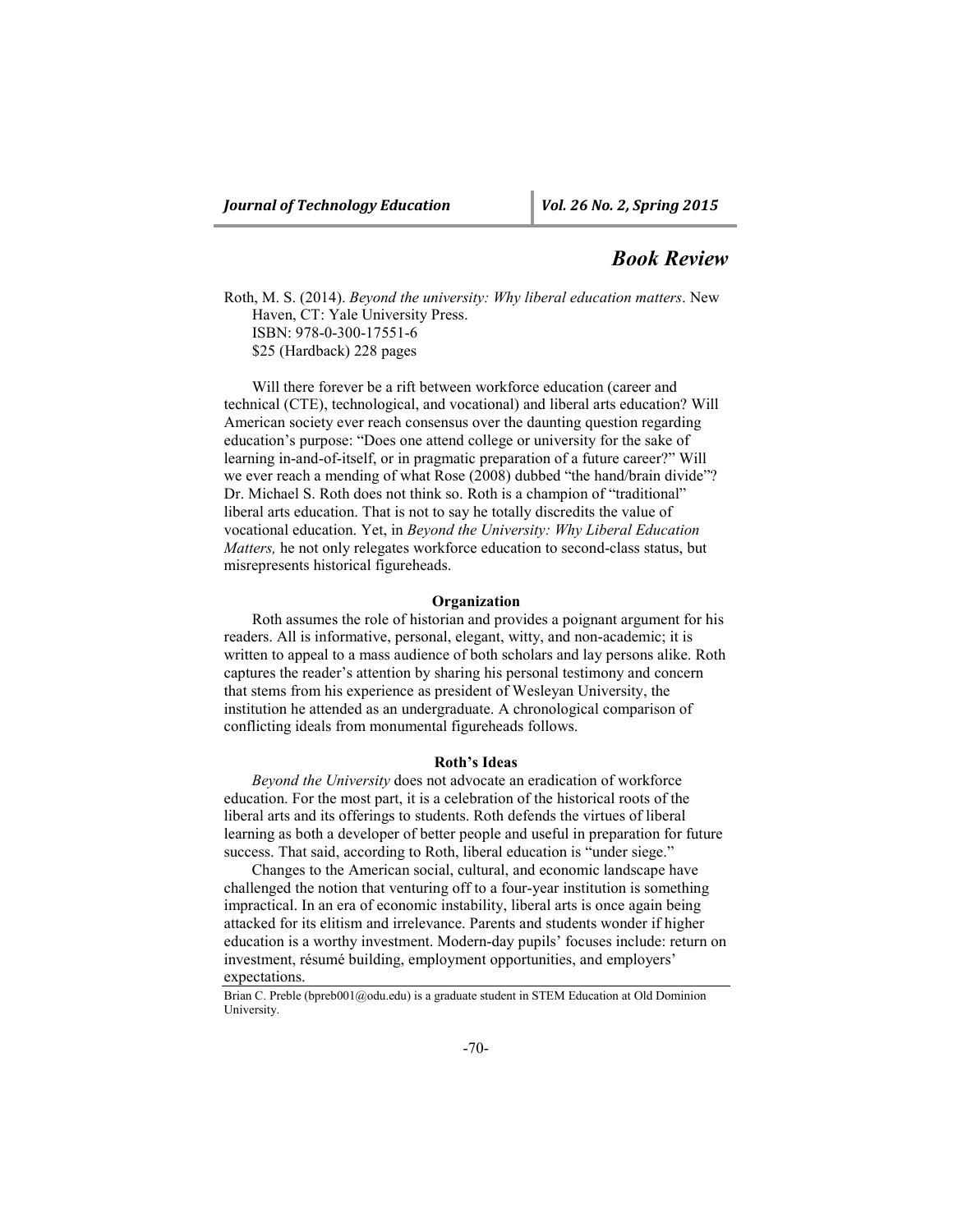## *Book Review*

Roth, M. S. (2014). *Beyond the university: Why liberal education matters*. New Haven, CT: Yale University Press. ISBN: 978-0-300-17551-6 \$25 (Hardback) 228 pages

Will there forever be a rift between workforce education (career and technical (CTE), technological, and vocational) and liberal arts education? Will American society ever reach consensus over the daunting question regarding education's purpose: "Does one attend college or university for the sake of learning in-and-of-itself, or in pragmatic preparation of a future career?" Will we ever reach a mending of what Rose (2008) dubbed "the hand/brain divide"? Dr. Michael S. Roth does not think so. Roth is a champion of "traditional" liberal arts education. That is not to say he totally discredits the value of vocational education. Yet, in *Beyond the University: Why Liberal Education Matters,* he not only relegates workforce education to second-class status, but misrepresents historical figureheads.

#### **Organization**

Roth assumes the role of historian and provides a poignant argument for his readers. All is informative, personal, elegant, witty, and non-academic; it is written to appeal to a mass audience of both scholars and lay persons alike. Roth captures the reader's attention by sharing his personal testimony and concern that stems from his experience as president of Wesleyan University, the institution he attended as an undergraduate. A chronological comparison of conflicting ideals from monumental figureheads follows.

#### **Roth's Ideas**

*Beyond the University* does not advocate an eradication of workforce education. For the most part, it is a celebration of the historical roots of the liberal arts and its offerings to students. Roth defends the virtues of liberal learning as both a developer of better people and useful in preparation for future success. That said, according to Roth, liberal education is "under siege."

Changes to the American social, cultural, and economic landscape have challenged the notion that venturing off to a four-year institution is something impractical. In an era of economic instability, liberal arts is once again being attacked for its elitism and irrelevance. Parents and students wonder if higher education is a worthy investment. Modern-day pupils' focuses include: return on investment, résumé building, employment opportunities, and employers' expectations.

Brian C. Preble (bpreb001@odu.edu) is a graduate student in STEM Education at Old Dominion University.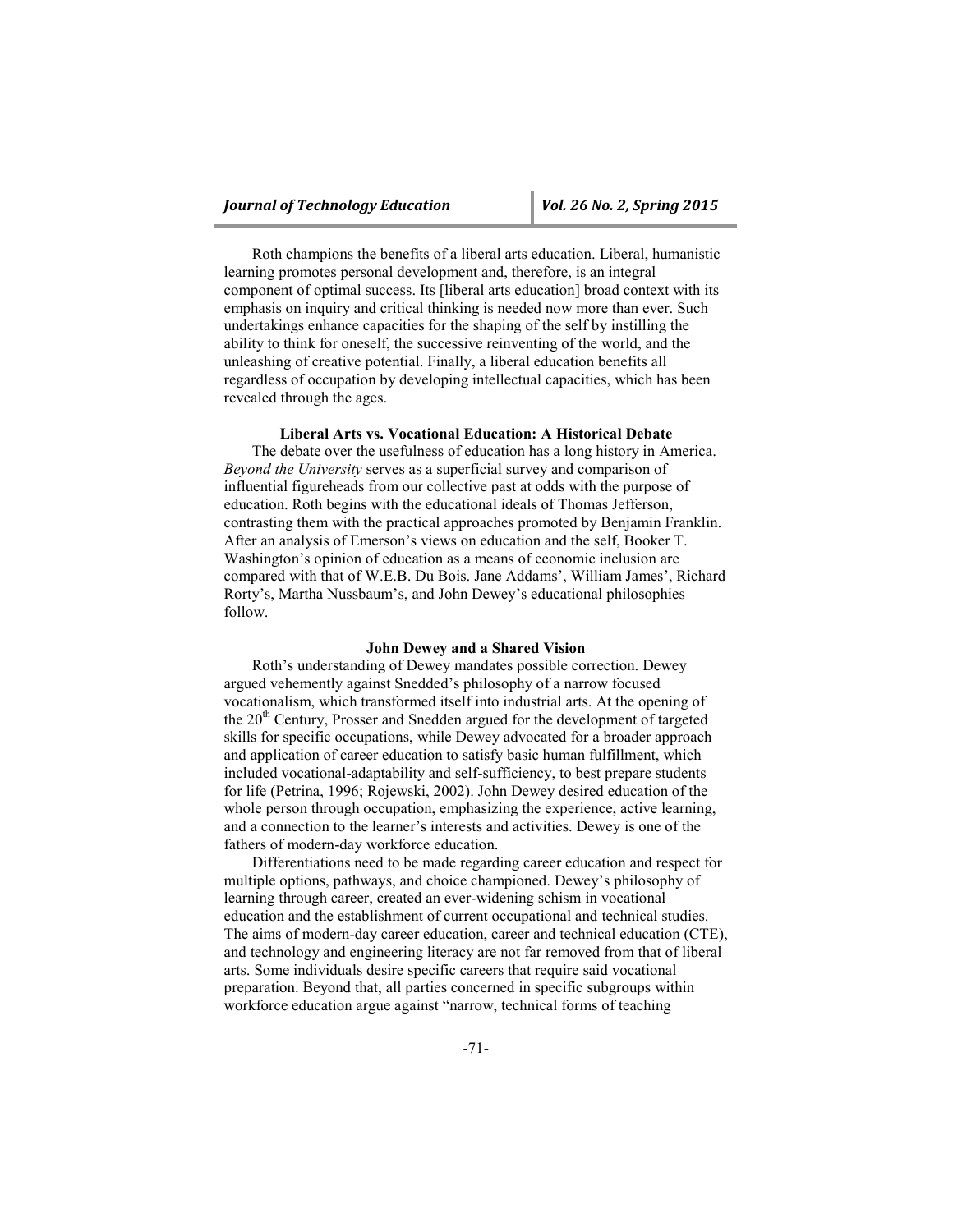Roth champions the benefits of a liberal arts education. Liberal, humanistic learning promotes personal development and, therefore, is an integral component of optimal success. Its [liberal arts education] broad context with its emphasis on inquiry and critical thinking is needed now more than ever. Such undertakings enhance capacities for the shaping of the self by instilling the ability to think for oneself, the successive reinventing of the world, and the unleashing of creative potential. Finally, a liberal education benefits all regardless of occupation by developing intellectual capacities, which has been revealed through the ages.

#### **Liberal Arts vs. Vocational Education: A Historical Debate**

The debate over the usefulness of education has a long history in America. *Beyond the University* serves as a superficial survey and comparison of influential figureheads from our collective past at odds with the purpose of education. Roth begins with the educational ideals of Thomas Jefferson, contrasting them with the practical approaches promoted by Benjamin Franklin. After an analysis of Emerson's views on education and the self, Booker T. Washington's opinion of education as a means of economic inclusion are compared with that of W.E.B. Du Bois. Jane Addams', William James', Richard Rorty's, Martha Nussbaum's, and John Dewey's educational philosophies follow.

#### **John Dewey and a Shared Vision**

Roth's understanding of Dewey mandates possible correction. Dewey argued vehemently against Snedded's philosophy of a narrow focused vocationalism, which transformed itself into industrial arts. At the opening of the 20<sup>th</sup> Century, Prosser and Snedden argued for the development of targeted skills for specific occupations, while Dewey advocated for a broader approach and application of career education to satisfy basic human fulfillment, which included vocational-adaptability and self-sufficiency, to best prepare students for life (Petrina, 1996; Rojewski, 2002). John Dewey desired education of the whole person through occupation, emphasizing the experience, active learning, and a connection to the learner's interests and activities. Dewey is one of the fathers of modern-day workforce education.

Differentiations need to be made regarding career education and respect for multiple options, pathways, and choice championed. Dewey's philosophy of learning through career, created an ever-widening schism in vocational education and the establishment of current occupational and technical studies. The aims of modern-day career education, career and technical education (CTE), and technology and engineering literacy are not far removed from that of liberal arts. Some individuals desire specific careers that require said vocational preparation. Beyond that, all parties concerned in specific subgroups within workforce education argue against "narrow, technical forms of teaching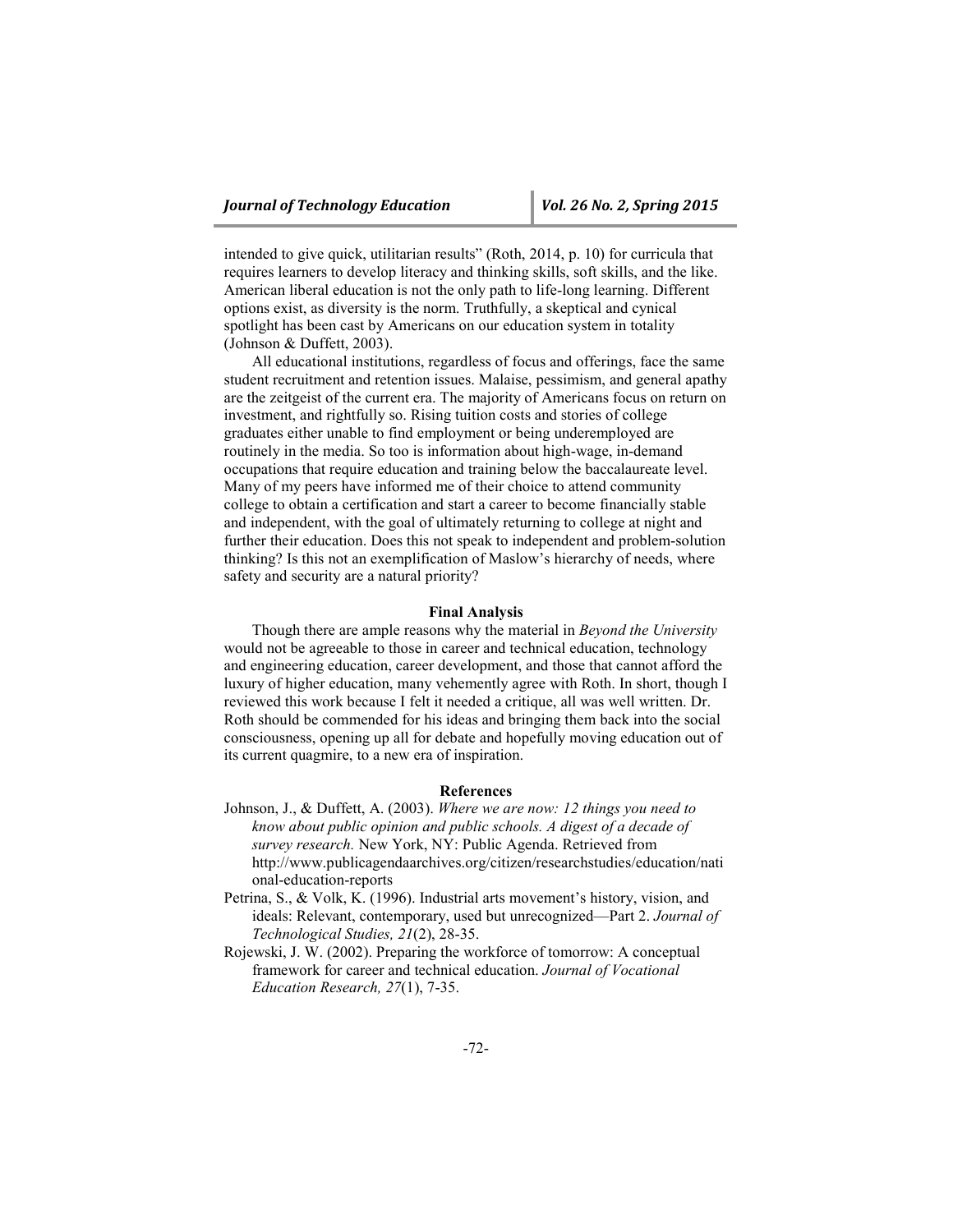intended to give quick, utilitarian results" (Roth, 2014, p. 10) for curricula that requires learners to develop literacy and thinking skills, soft skills, and the like. American liberal education is not the only path to life-long learning. Different options exist, as diversity is the norm. Truthfully, a skeptical and cynical spotlight has been cast by Americans on our education system in totality (Johnson & Duffett, 2003).

All educational institutions, regardless of focus and offerings, face the same student recruitment and retention issues. Malaise, pessimism, and general apathy are the zeitgeist of the current era. The majority of Americans focus on return on investment, and rightfully so. Rising tuition costs and stories of college graduates either unable to find employment or being underemployed are routinely in the media. So too is information about high-wage, in-demand occupations that require education and training below the baccalaureate level. Many of my peers have informed me of their choice to attend community college to obtain a certification and start a career to become financially stable and independent, with the goal of ultimately returning to college at night and further their education. Does this not speak to independent and problem-solution thinking? Is this not an exemplification of Maslow's hierarchy of needs, where safety and security are a natural priority?

#### **Final Analysis**

Though there are ample reasons why the material in *Beyond the University* would not be agreeable to those in career and technical education, technology and engineering education, career development, and those that cannot afford the luxury of higher education, many vehemently agree with Roth. In short, though I reviewed this work because I felt it needed a critique, all was well written. Dr. Roth should be commended for his ideas and bringing them back into the social consciousness, opening up all for debate and hopefully moving education out of its current quagmire, to a new era of inspiration.

#### **References**

- Johnson, J., & Duffett, A. (2003). *Where we are now: 12 things you need to know about public opinion and public schools. A digest of a decade of survey research.* New York, NY: Public Agenda. Retrieved from http://www.publicagendaarchives.org/citizen/researchstudies/education/nati onal-education-reports
- Petrina, S., & Volk, K. (1996). Industrial arts movement's history, vision, and ideals: Relevant, contemporary, used but unrecognized—Part 2. *Journal of Technological Studies, 21*(2), 28-35.
- Rojewski, J. W. (2002). Preparing the workforce of tomorrow: A conceptual framework for career and technical education. *Journal of Vocational Education Research, 27*(1), 7-35.